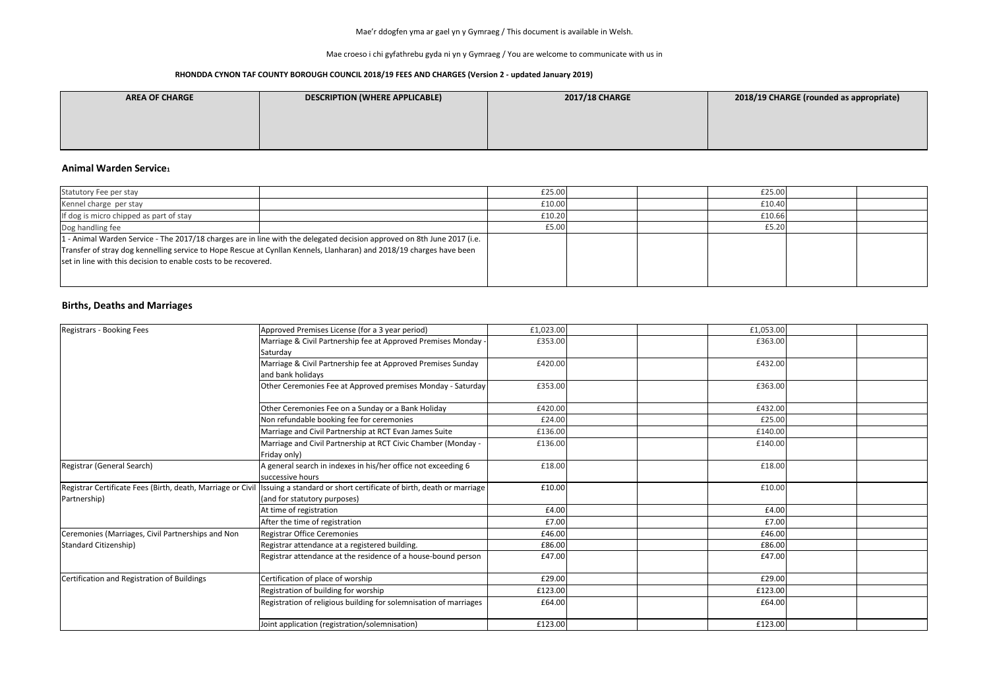Mae croeso i chi gyfathrebu gyda ni yn y Gymraeg / You are welcome to communicate with us in

| <b>AREA OF CHARGE</b> | <b>DESCRIPTION (WHERE APPLICABLE)</b> | <b>2017/18 CHARGE</b> |
|-----------------------|---------------------------------------|-----------------------|
|                       |                                       |                       |
|                       |                                       |                       |
|                       |                                       |                       |

#### **Animal Warden Service<sup>1</sup>**

### **Births, Deaths and Marriages**

| Statutory Fee per stay                                          |                                                                                                                                                                                                                                                | £25.00 |  | £25.00 |  |
|-----------------------------------------------------------------|------------------------------------------------------------------------------------------------------------------------------------------------------------------------------------------------------------------------------------------------|--------|--|--------|--|
| Kennel charge per stay                                          |                                                                                                                                                                                                                                                | £10.00 |  | £10.40 |  |
| If dog is micro chipped as part of stay                         |                                                                                                                                                                                                                                                | £10.20 |  | £10.66 |  |
| Dog handling fee                                                |                                                                                                                                                                                                                                                | £5.00  |  | £5.20  |  |
| set in line with this decision to enable costs to be recovered. | 1. Animal Warden Service - The 2017/18 charges are in line with the delegated decision approved on 8th June 2017 (i.e.<br>Transfer of stray dog kennelling service to Hope Rescue at Cynllan Kennels, Llanharan) and 2018/19 charges have been |        |  |        |  |

| Registrars - Booking Fees                                                   | Approved Premises License (for a 3 year period)                                                     | £1,023.00 |  | £1,053.00 |  |
|-----------------------------------------------------------------------------|-----------------------------------------------------------------------------------------------------|-----------|--|-----------|--|
|                                                                             | Marriage & Civil Partnership fee at Approved Premises Monday -<br>Saturday                          | £353.00   |  | £363.00   |  |
|                                                                             | Marriage & Civil Partnership fee at Approved Premises Sunday<br>and bank holidays                   | £420.00   |  | £432.00   |  |
|                                                                             | Other Ceremonies Fee at Approved premises Monday - Saturday                                         | £353.00   |  | £363.00   |  |
|                                                                             | Other Ceremonies Fee on a Sunday or a Bank Holiday                                                  | £420.00   |  | £432.00   |  |
|                                                                             | Non refundable booking fee for ceremonies                                                           | £24.00    |  | £25.00    |  |
|                                                                             | Marriage and Civil Partnership at RCT Evan James Suite                                              | £136.00   |  | £140.00   |  |
|                                                                             | Marriage and Civil Partnership at RCT Civic Chamber (Monday -<br>Friday only)                       | £136.00   |  | £140.00   |  |
| Registrar (General Search)                                                  | A general search in indexes in his/her office not exceeding 6<br>successive hours                   | £18.00    |  | £18.00    |  |
| Registrar Certificate Fees (Birth, death, Marriage or Civil<br>Partnership) | Issuing a standard or short certificate of birth, death or marriage<br>(and for statutory purposes) | £10.00    |  | £10.00    |  |
|                                                                             | At time of registration                                                                             | £4.00     |  | £4.00     |  |
|                                                                             | After the time of registration                                                                      | £7.00     |  | £7.00     |  |
| Ceremonies (Marriages, Civil Partnerships and Non                           | <b>Registrar Office Ceremonies</b>                                                                  | £46.00    |  | £46.00    |  |
| Standard Citizenship)                                                       | Registrar attendance at a registered building.                                                      | £86.00    |  | £86.00    |  |
|                                                                             | Registrar attendance at the residence of a house-bound person                                       | £47.00    |  | £47.00    |  |
| Certification and Registration of Buildings                                 | Certification of place of worship                                                                   | £29.00    |  | £29.00    |  |
|                                                                             | Registration of building for worship                                                                | £123.00   |  | £123.00   |  |
|                                                                             | Registration of religious building for solemnisation of marriages                                   | £64.00    |  | £64.00    |  |
|                                                                             | Joint application (registration/solemnisation)                                                      | £123.00   |  | £123.00   |  |

### **2017/18 CHARGE 2018/19 CHARGE (rounded as appropriate)**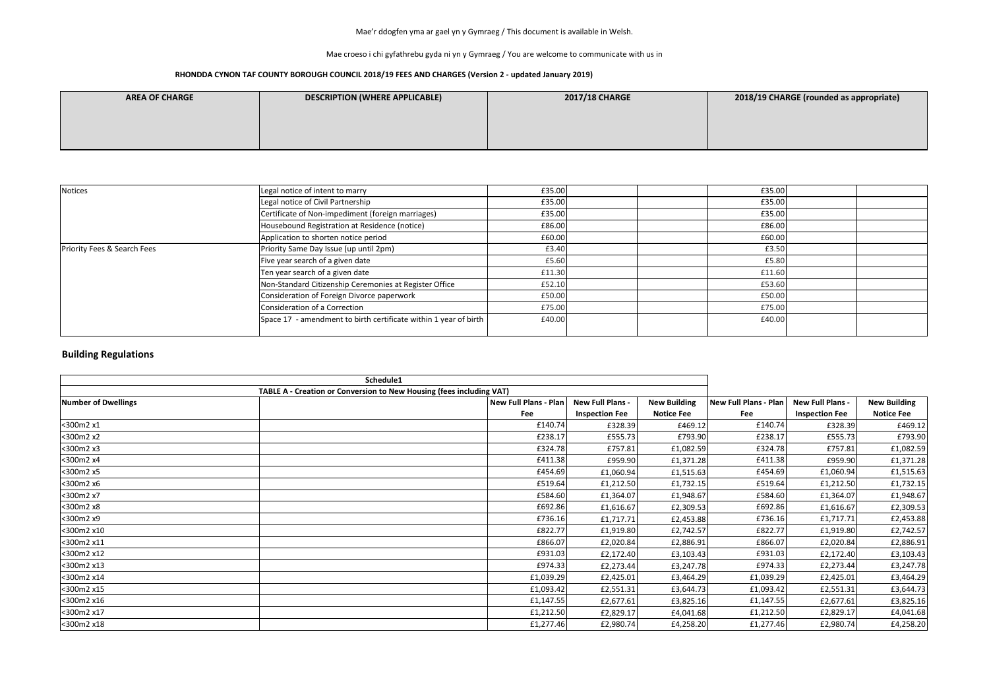Mae croeso i chi gyfathrebu gyda ni yn y Gymraeg / You are welcome to communicate with us in

### **RHONDDA CYNON TAF COUNTY BOROUGH COUNCIL 2018/19 FEES AND CHARGES (Version 2 - updated January 2019)**

| <b>AREA OF CHARGE</b> | <b>DESCRIPTION (WHERE APPLICABLE)</b> | <b>2017/18 CHARGE</b> |
|-----------------------|---------------------------------------|-----------------------|
|                       |                                       |                       |
|                       |                                       |                       |
|                       |                                       |                       |

| Notices                     | Legal notice of intent to marry                                  | £35.00 |  | £35.00 |  |
|-----------------------------|------------------------------------------------------------------|--------|--|--------|--|
|                             | Legal notice of Civil Partnership                                | £35.00 |  | £35.00 |  |
|                             | Certificate of Non-impediment (foreign marriages)                | £35.00 |  | £35.00 |  |
|                             | Housebound Registration at Residence (notice)                    | £86.00 |  | £86.00 |  |
|                             | Application to shorten notice period                             | £60.00 |  | £60.00 |  |
| Priority Fees & Search Fees | Priority Same Day Issue (up until 2pm)                           | £3.40  |  | £3.50  |  |
|                             | Five year search of a given date                                 | £5.60  |  | £5.80  |  |
|                             | Ten year search of a given date                                  | £11.30 |  | £11.60 |  |
|                             | Non-Standard Citizenship Ceremonies at Register Office           | £52.10 |  | £53.60 |  |
|                             | Consideration of Foreign Divorce paperwork                       | £50.00 |  | £50.00 |  |
|                             | Consideration of a Correction                                    | £75.00 |  | £75.00 |  |
|                             | Space 17 - amendment to birth certificate within 1 year of birth | £40.00 |  | £40.00 |  |

|                            | Schedule1                                                            |                       |                         |                     |                       |                         |                     |
|----------------------------|----------------------------------------------------------------------|-----------------------|-------------------------|---------------------|-----------------------|-------------------------|---------------------|
|                            | TABLE A - Creation or Conversion to New Housing (fees including VAT) |                       |                         |                     |                       |                         |                     |
| <b>Number of Dwellings</b> |                                                                      | New Full Plans - Plan | <b>New Full Plans -</b> | <b>New Building</b> | New Full Plans - Plan | <b>New Full Plans -</b> | <b>New Building</b> |
|                            |                                                                      | Fee                   | <b>Inspection Fee</b>   | <b>Notice Fee</b>   | Fee                   | <b>Inspection Fee</b>   | <b>Notice Fee</b>   |
| <300m2 x1                  |                                                                      | £140.74               | £328.39                 | £469.12             | £140.74               | £328.39                 | £469.12             |
| <300m2 x2                  |                                                                      | £238.17               | £555.73                 | £793.90             | £238.17               | £555.73                 | £793.90             |
| <300m2 x3                  |                                                                      | £324.78               | £757.81                 | £1,082.59           | £324.78               | £757.81                 | £1,082.59           |
| <300m2 x4                  |                                                                      | £411.38               | £959.90                 | £1,371.28           | £411.38               | £959.90                 | £1,371.28           |
| <300m2 x5                  |                                                                      | £454.69               | £1,060.94               | £1,515.63           | £454.69               | £1,060.94               | £1,515.63           |
| <300m2 x6                  |                                                                      | £519.64               | £1,212.50               | £1,732.15           | £519.64               | £1,212.50               | £1,732.15           |
| <300m2 x7                  |                                                                      | £584.60               | £1,364.07               | £1,948.67           | £584.60               | £1,364.07               | £1,948.67           |
| <300m2 x8                  |                                                                      | £692.86               | £1,616.67               | £2,309.53           | £692.86               | £1,616.67               | £2,309.53           |
| <300m2 x9                  |                                                                      | £736.16               | £1,717.71               | £2,453.88           | £736.16               | £1,717.71               | £2,453.88           |
| <300m2 x10                 |                                                                      | £822.77               | £1,919.80               | £2,742.57           | £822.77               | £1,919.80               | £2,742.57           |
| <300m2 x11                 |                                                                      | £866.07               | £2,020.84               | £2,886.91           | £866.07               | £2,020.84               | £2,886.91           |
| <300m2 x12                 |                                                                      | £931.03               | £2,172.40               | £3,103.43           | £931.03               | £2,172.40               | £3,103.43           |
| <300m2 x13                 |                                                                      | £974.33               | £2,273.44               | £3,247.78           | £974.33               | £2,273.44               | £3,247.78           |
| <300m2 x14                 |                                                                      | £1,039.29             | £2,425.01               | £3,464.29           | £1,039.29             | £2,425.01               | £3,464.29           |
| <300m2 x15                 |                                                                      | £1,093.42             | £2,551.31               | £3,644.73           | £1,093.42             | £2,551.31               | £3,644.73           |
| <300m2 x16                 |                                                                      | £1,147.55             | £2,677.61               | £3,825.16           | £1,147.55             | £2,677.61               | £3,825.16           |
| <300m2 x17                 |                                                                      | £1,212.50             | £2,829.17               | £4,041.68           | £1,212.50             | £2,829.17               | £4,041.68           |
| <300m2 x18                 |                                                                      | £1,277.46             | £2,980.74               | £4,258.20           | £1,277.46             | £2,980.74               | £4,258.20           |

### **ABILITY CHARGE (rounded as appropriate)**

## **Building Regulations**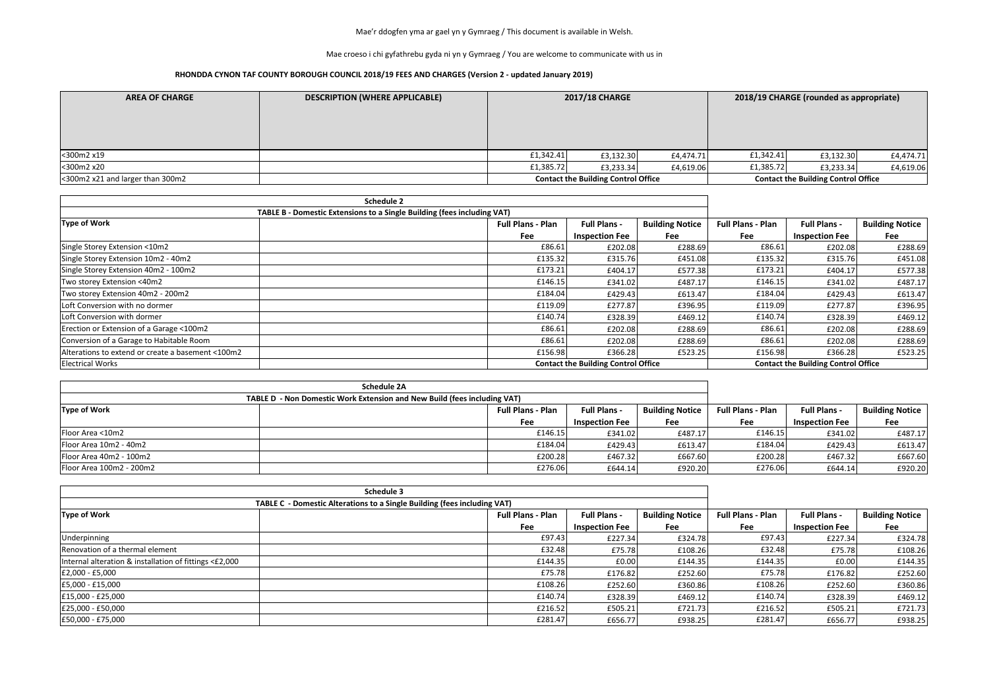Mae croeso i chi gyfathrebu gyda ni yn y Gymraeg / You are welcome to communicate with us in

| <b>AREA OF CHARGE</b>            | <b>DESCRIPTION (WHERE APPLICABLE)</b> |                                            | <b>2017/18 CHARGE</b> |           | 2018/19 CHARGE (rounded as appropriate)    |           |           |
|----------------------------------|---------------------------------------|--------------------------------------------|-----------------------|-----------|--------------------------------------------|-----------|-----------|
| <300m2 x19                       |                                       | f1,342.41                                  | £3,132.30             | £4,474.71 | f1,342.41                                  | £3,132.30 | £4,474.71 |
| <300m2 x20                       |                                       | £1,385.72                                  | £3,233.34             | £4,619.06 | f1,385.72                                  | £3,233.34 | £4,619.06 |
| <300m2 x21 and larger than 300m2 |                                       | <b>Contact the Building Control Office</b> |                       |           | <b>Contact the Building Control Office</b> |           |           |

|                                                                         | <b>Schedule 2</b>        |                                            |                        |                          |                                            |                        |
|-------------------------------------------------------------------------|--------------------------|--------------------------------------------|------------------------|--------------------------|--------------------------------------------|------------------------|
| TABLE B - Domestic Extensions to a Single Building (fees including VAT) |                          |                                            |                        |                          |                                            |                        |
| <b>Type of Work</b>                                                     | <b>Full Plans - Plan</b> | <b>Full Plans -</b>                        | <b>Building Notice</b> | <b>Full Plans - Plan</b> | <b>Full Plans -</b>                        | <b>Building Notice</b> |
|                                                                         | Fee                      | <b>Inspection Fee</b>                      | Fee                    | Fee                      | <b>Inspection Fee</b>                      | Fee                    |
| Single Storey Extension <10m2                                           | £86.61                   | £202.08                                    | £288.69                | £86.61                   | £202.08                                    | £288.69                |
| Single Storey Extension 10m2 - 40m2                                     | £135.32                  | £315.76                                    | £451.08                | £135.32                  | £315.76                                    | £451.08                |
| Single Storey Extension 40m2 - 100m2                                    | £173.21                  | £404.17                                    | £577.38                | £173.21                  | £404.17                                    | £577.38                |
| Two storey Extension <40m2                                              | £146.15                  | £341.02                                    | £487.17                | £146.15                  | £341.02                                    | £487.17                |
| Two storey Extension 40m2 - 200m2                                       | £184.04                  | £429.43                                    | £613.47                | £184.04                  | £429.43                                    | £613.47                |
| Loft Conversion with no dormer                                          | £119.09                  | £277.87                                    | £396.95                | £119.09                  | £277.87                                    | £396.95                |
| Loft Conversion with dormer                                             | £140.74                  | £328.39                                    | £469.12                | £140.74                  | £328.39                                    | £469.12                |
| Erection or Extension of a Garage <100m2                                | £86.61                   | £202.08                                    | £288.69                | £86.61                   | £202.08                                    | £288.69                |
| Conversion of a Garage to Habitable Room                                | £86.61                   | £202.08                                    | £288.69                | £86.61                   | £202.08                                    | £288.69                |
| Alterations to extend or create a basement <100m2                       | £156.98                  | £366.28                                    | £523.25                | £156.98                  | £366.28                                    | £523.25                |
| <b>Electrical Works</b>                                                 |                          | <b>Contact the Building Control Office</b> |                        |                          | <b>Contact the Building Control Office</b> |                        |

|                                                                          | <b>Schedule 2A</b> |                          |                       |                        |                          |                       |                        |
|--------------------------------------------------------------------------|--------------------|--------------------------|-----------------------|------------------------|--------------------------|-----------------------|------------------------|
| TABLE D - Non Domestic Work Extension and New Build (fees including VAT) |                    |                          |                       |                        |                          |                       |                        |
| <b>Type of Work</b>                                                      |                    | <b>Full Plans - Plan</b> | <b>Full Plans -</b>   | <b>Building Notice</b> | <b>Full Plans - Plan</b> | <b>Full Plans -</b>   | <b>Building Notice</b> |
|                                                                          |                    | Fee                      | <b>Inspection Fee</b> | Fee                    | Fee                      | <b>Inspection Fee</b> | Fee                    |
| Floor Area <10m2                                                         |                    | £146.15                  | £341.02               | £487.17                | £146.15                  | £341.02               | £487.17                |
| Floor Area 10m2 - 40m2                                                   |                    | £184.04                  | £429.43               | £613.47                | £184.04                  | £429.43               | £613.47                |
| Floor Area 40m2 - 100m2                                                  |                    | £200.28                  | £467.32               | £667.60                | £200.28                  | £467.32               | £667.60                |
| Floor Area 100m2 - 200m2                                                 |                    | £276.06                  | £644.14               | £920.20                | £276.06                  | £644.14               | £920.20                |

|                                                        | Schedule 3                                                               |                          |                       |                        |                          |                       |                        |
|--------------------------------------------------------|--------------------------------------------------------------------------|--------------------------|-----------------------|------------------------|--------------------------|-----------------------|------------------------|
|                                                        | TABLE C - Domestic Alterations to a Single Building (fees including VAT) |                          |                       |                        |                          |                       |                        |
| <b>Type of Work</b>                                    |                                                                          | <b>Full Plans - Plan</b> | <b>Full Plans -</b>   | <b>Building Notice</b> | <b>Full Plans - Plan</b> | <b>Full Plans -</b>   | <b>Building Notice</b> |
|                                                        |                                                                          | Fee                      | <b>Inspection Fee</b> | Fee                    | <b>Fee</b>               | <b>Inspection Fee</b> | Fee                    |
| Underpinning                                           |                                                                          | £97.43                   | £227.34               | £324.78                | £97.43                   | £227.34               | £324.78                |
| Renovation of a thermal element                        |                                                                          | £32.48                   | £75.78                | £108.26                | £32.48                   | £75.78                | £108.26                |
| Internal alteration & installation of fittings <£2,000 |                                                                          | £144.35                  | £0.00                 | £144.35                | £144.35                  | £0.00                 | £144.35                |
| £2,000 - £5,000                                        |                                                                          | £75.78                   | £176.82               | £252.60                | £75.78                   | £176.82               | £252.60                |
| E5,000 - £15,000                                       |                                                                          | £108.26                  | £252.60               | £360.86                | £108.26                  | £252.60               | £360.86                |
| E15,000 - £25,000                                      |                                                                          | £140.74                  | £328.39               | £469.12                | £140.74                  | £328.39               | £469.12                |
| E25,000 - £50,000                                      |                                                                          | £216.52                  | £505.21               | £721.73                | £216.52                  | £505.21               | £721.73                |
| E50,000 - £75,000                                      |                                                                          | £281.47                  | £656.77               | £938.25                | £281.47                  | £656.77               | £938.25                |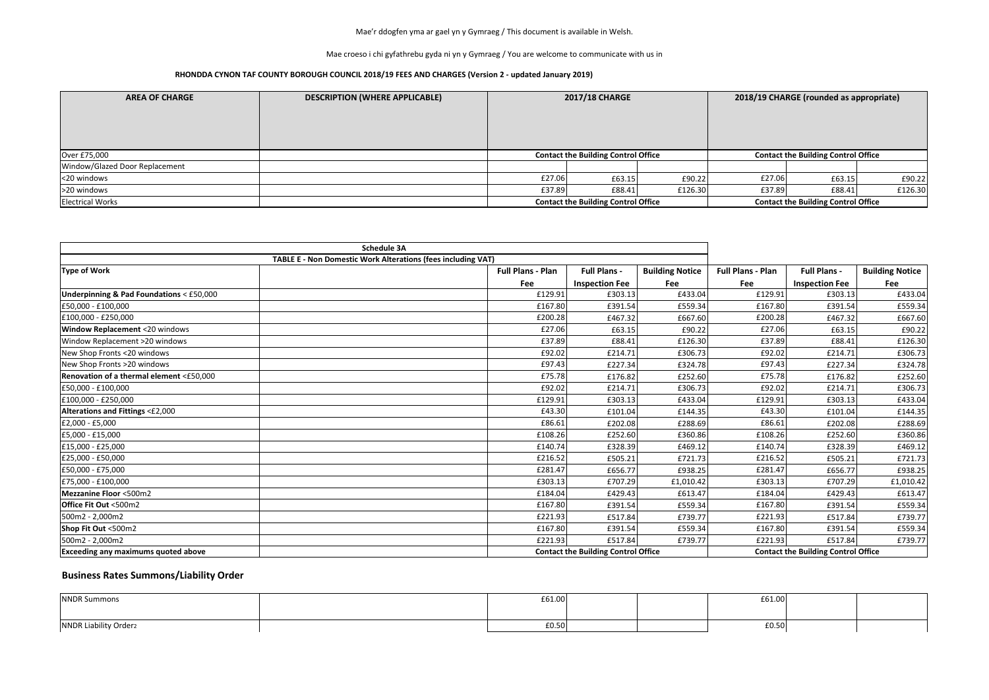Mae croeso i chi gyfathrebu gyda ni yn y Gymraeg / You are welcome to communicate with us in

### **RHONDDA CYNON TAF COUNTY BOROUGH COUNCIL 2018/19 FEES AND CHARGES (Version 2 - updated January 2019)**

| <b>AREA OF CHARGE</b>          | 2017/18 CHARGE<br>2018/19 CHARGE (rounded as appropriate)<br><b>DESCRIPTION (WHERE APPLICABLE)</b> |                                            |                                            |         |                                            |                                            |         |
|--------------------------------|----------------------------------------------------------------------------------------------------|--------------------------------------------|--------------------------------------------|---------|--------------------------------------------|--------------------------------------------|---------|
| Over £75,000                   |                                                                                                    |                                            | <b>Contact the Building Control Office</b> |         |                                            | <b>Contact the Building Control Office</b> |         |
| Window/Glazed Door Replacement |                                                                                                    |                                            |                                            |         |                                            |                                            |         |
| <20 windows                    |                                                                                                    | £27.06                                     | £63.15                                     | £90.22  | £27.06                                     | £63.15                                     | £90.22  |
| >20 windows                    |                                                                                                    | £37.89                                     | £88.41                                     | £126.30 | £37.89                                     | £88.41                                     | £126.30 |
| <b>Electrical Works</b>        |                                                                                                    | <b>Contact the Building Control Office</b> |                                            |         | <b>Contact the Building Control Office</b> |                                            |         |

|                                            | <b>Schedule 3A</b>                                           |                          |                                            |                        |                          |                                            |                        |
|--------------------------------------------|--------------------------------------------------------------|--------------------------|--------------------------------------------|------------------------|--------------------------|--------------------------------------------|------------------------|
|                                            | TABLE E - Non Domestic Work Alterations (fees including VAT) |                          |                                            |                        |                          |                                            |                        |
| <b>Type of Work</b>                        |                                                              | <b>Full Plans - Plan</b> | <b>Full Plans -</b>                        | <b>Building Notice</b> | <b>Full Plans - Plan</b> | <b>Full Plans -</b>                        | <b>Building Notice</b> |
|                                            |                                                              | Fee                      | <b>Inspection Fee</b>                      | Fee                    | Fee                      | <b>Inspection Fee</b>                      | Fee                    |
| Underpinning & Pad Foundations < £50,000   |                                                              | £129.91                  | £303.13                                    | £433.04                | £129.91                  | £303.13                                    | £433.04                |
| £50,000 - £100,000                         |                                                              | £167.80                  | £391.54                                    | £559.34                | £167.80                  | £391.54                                    | £559.34                |
| £100,000 - £250,000                        |                                                              | £200.28                  | £467.32                                    | £667.60                | £200.28                  | £467.32                                    | £667.60                |
| <b>Window Replacement &lt;20 windows</b>   |                                                              | £27.06                   | £63.15                                     | £90.22                 | £27.06                   | £63.15                                     | £90.22                 |
| Window Replacement >20 windows             |                                                              | £37.89                   | £88.41                                     | £126.30                | £37.89                   | £88.41                                     | £126.30                |
| New Shop Fronts <20 windows                |                                                              | £92.02                   | £214.71                                    | £306.73                | £92.02                   | £214.71                                    | £306.73                |
| New Shop Fronts >20 windows                |                                                              | £97.43                   | £227.34                                    | £324.78                | £97.43                   | £227.34                                    | £324.78                |
| Renovation of a thermal element <£50,000   |                                                              | £75.78                   | £176.82                                    | £252.60                | £75.78                   | £176.82                                    | £252.60                |
| £50,000 - £100,000                         |                                                              | £92.02                   | £214.71                                    | £306.73                | £92.02                   | £214.71                                    | £306.73                |
| £100,000 - £250,000                        |                                                              | £129.91                  | £303.13                                    | £433.04                | £129.91                  | £303.13                                    | £433.04                |
| Alterations and Fittings <£2,000           |                                                              | £43.30                   | £101.04                                    | £144.35                | £43.30                   | £101.04                                    | £144.35                |
| £2,000 - £5,000                            |                                                              | £86.61                   | £202.08                                    | £288.69                | £86.61                   | £202.08                                    | £288.69                |
| £5,000 - £15,000                           |                                                              | £108.26                  | £252.60                                    | £360.86                | £108.26                  | £252.60                                    | £360.86                |
| £15,000 - £25,000                          |                                                              | £140.74                  | £328.39                                    | £469.12                | £140.74                  | £328.39                                    | £469.12                |
| £25,000 - £50,000                          |                                                              | £216.52                  | £505.21                                    | £721.73                | £216.52                  | £505.21                                    | £721.73                |
| £50,000 - £75,000                          |                                                              | £281.47                  | £656.77                                    | £938.25                | £281.47                  | £656.77                                    | £938.25                |
| £75,000 - £100,000                         |                                                              | £303.13                  | £707.29                                    | £1,010.42              | £303.13                  | £707.29                                    | £1,010.42              |
| <b>Mezzanine Floor &lt;500m2</b>           |                                                              | £184.04                  | £429.43                                    | £613.47                | £184.04                  | £429.43                                    | £613.47                |
| <b>Office Fit Out &lt;500m2</b>            |                                                              | £167.80                  | £391.54                                    | £559.34                | £167.80                  | £391.54                                    | £559.34                |
| 500m2 - 2,000m2                            |                                                              | £221.93                  | £517.84                                    | £739.77                | £221.93                  | £517.84                                    | £739.77                |
| Shop Fit Out <500m2                        |                                                              | £167.80                  | £391.54                                    | £559.34                | £167.80                  | £391.54                                    | £559.34                |
| 500m2 - 2,000m2                            |                                                              | £221.93                  | £517.84                                    | £739.77                | £221.93                  | £517.84                                    | £739.77                |
| <b>Exceeding any maximums quoted above</b> |                                                              |                          | <b>Contact the Building Control Office</b> |                        |                          | <b>Contact the Building Control Office</b> |                        |

| <b>NNDR Summons</b>               | £61.00 |  | £61.00 |  |
|-----------------------------------|--------|--|--------|--|
|                                   |        |  |        |  |
| NNDR Liability Order <sub>2</sub> | £0.50  |  | f0.50  |  |

## **Business Rates Summons/Liability Order**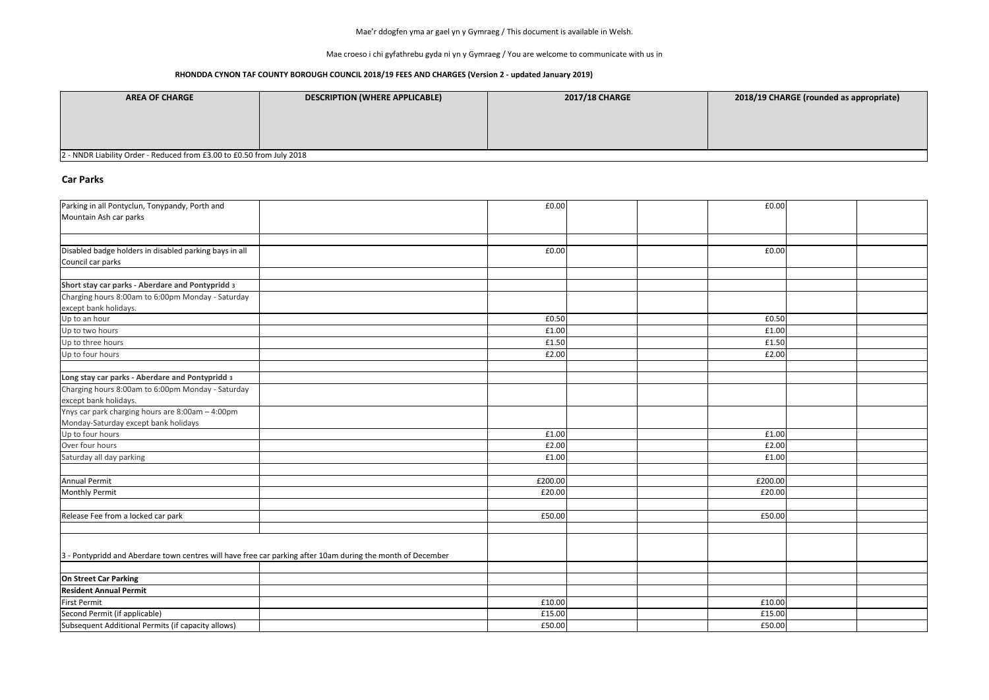Mae croeso i chi gyfathrebu gyda ni yn y Gymraeg / You are welcome to communicate with us in

#### **RHONDDA CYNON TAF COUNTY BOROUGH COUNCIL 2018/19 FEES AND CHARGES (Version 2 - updated January 2019)**

### **Car Parks**

| Parking in all Pontyclun, Tonypandy, Porth and<br>Mountain Ash car parks                                    | £0.00   | £0.00   |  |
|-------------------------------------------------------------------------------------------------------------|---------|---------|--|
|                                                                                                             |         |         |  |
| Disabled badge holders in disabled parking bays in all<br>Council car parks                                 | £0.00   | £0.00   |  |
| Short stay car parks - Aberdare and Pontypridd 3                                                            |         |         |  |
| Charging hours 8:00am to 6:00pm Monday - Saturday                                                           |         |         |  |
| except bank holidays.                                                                                       |         |         |  |
| Up to an hour                                                                                               | £0.50   | £0.50   |  |
| Up to two hours                                                                                             | £1.00   | £1.00   |  |
| Up to three hours                                                                                           | £1.50   | £1.50   |  |
| Up to four hours                                                                                            | £2.00   | £2.00   |  |
| Long stay car parks - Aberdare and Pontypridd 3                                                             |         |         |  |
| Charging hours 8:00am to 6:00pm Monday - Saturday<br>except bank holidays.                                  |         |         |  |
| Ynys car park charging hours are 8:00am - 4:00pm                                                            |         |         |  |
| Monday-Saturday except bank holidays                                                                        |         |         |  |
| Up to four hours                                                                                            | £1.00   | £1.00   |  |
| Over four hours                                                                                             | £2.00   | £2.00   |  |
| Saturday all day parking                                                                                    | £1.00   | £1.00   |  |
|                                                                                                             |         |         |  |
| <b>Annual Permit</b>                                                                                        | £200.00 | £200.00 |  |
| <b>Monthly Permit</b>                                                                                       | £20.00  | £20.00  |  |
| Release Fee from a locked car park                                                                          | £50.00  | £50.00  |  |
|                                                                                                             |         |         |  |
| 3 - Pontypridd and Aberdare town centres will have free car parking after 10am during the month of December |         |         |  |
| On Street Car Parking                                                                                       |         |         |  |
| <b>Resident Annual Permit</b>                                                                               |         |         |  |
| <b>First Permit</b>                                                                                         | £10.00  | £10.00  |  |
| Second Permit (if applicable)                                                                               | £15.00  | £15.00  |  |
| Subsequent Additional Permits (if capacity allows)                                                          | £50.00  | £50.00  |  |

### **ABILITY CHARGE (rounded as appropriate)**

| <b>AREA OF CHARGE</b>                                                 | <b>DESCRIPTION (WHERE APPLICABLE)</b> | <b>2017/18 CHARGE</b> |  |  |  |  |  |
|-----------------------------------------------------------------------|---------------------------------------|-----------------------|--|--|--|--|--|
|                                                                       |                                       |                       |  |  |  |  |  |
|                                                                       |                                       |                       |  |  |  |  |  |
|                                                                       |                                       |                       |  |  |  |  |  |
| 2 - NNDR Liability Order - Reduced from £3.00 to £0.50 from July 2018 |                                       |                       |  |  |  |  |  |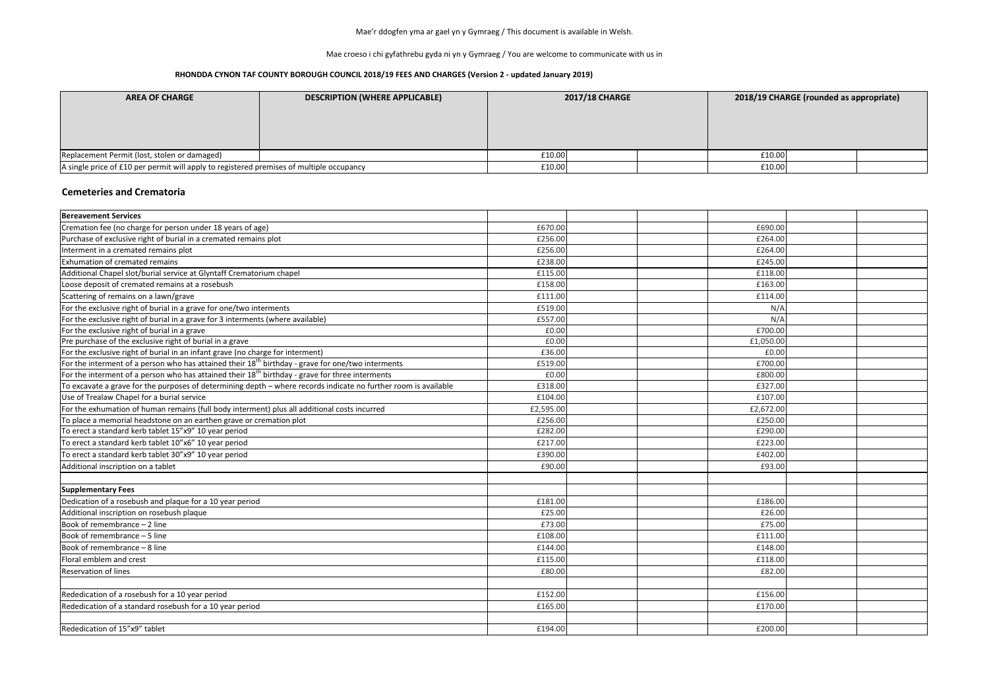Mae croeso i chi gyfathrebu gyda ni yn y Gymraeg / You are welcome to communicate with us in

### **RHONDDA CYNON TAF COUNTY BOROUGH COUNCIL 2018/19 FEES AND CHARGES (Version 2 - updated January 2019)**

| <b>AREA OF CHARGE</b>                                                                    | <b>DESCRIPTION (WHERE APPLICABLE)</b> | <b>2017/18 CHARGE</b> |  | 2018/19 CHARGE (rounded as appropriate) |  |  |  |
|------------------------------------------------------------------------------------------|---------------------------------------|-----------------------|--|-----------------------------------------|--|--|--|
|                                                                                          |                                       |                       |  |                                         |  |  |  |
| Replacement Permit (lost, stolen or damaged)                                             |                                       | £10.00                |  | £10.00                                  |  |  |  |
| A single price of £10 per permit will apply to registered premises of multiple occupancy |                                       | £10.00                |  | £10.00                                  |  |  |  |

### **Cemeteries and Crematoria**

| <b>Bereavement Services</b>                                                                                     |           |  |           |  |
|-----------------------------------------------------------------------------------------------------------------|-----------|--|-----------|--|
| Cremation fee (no charge for person under 18 years of age)                                                      | £670.00   |  | £690.00   |  |
| Purchase of exclusive right of burial in a cremated remains plot                                                | £256.00   |  | £264.00   |  |
| Interment in a cremated remains plot                                                                            | £256.00   |  | £264.00   |  |
| <b>Exhumation of cremated remains</b>                                                                           | £238.00   |  | £245.00   |  |
| Additional Chapel slot/burial service at Glyntaff Crematorium chapel                                            | £115.00   |  | £118.00   |  |
| Loose deposit of cremated remains at a rosebush                                                                 | £158.00   |  | £163.00   |  |
| Scattering of remains on a lawn/grave                                                                           | £111.00   |  | £114.00   |  |
| For the exclusive right of burial in a grave for one/two interments                                             | £519.00   |  | N/A       |  |
| For the exclusive right of burial in a grave for 3 interments (where available)                                 | £557.00   |  | N/A       |  |
| For the exclusive right of burial in a grave                                                                    | £0.00     |  | £700.00   |  |
| Pre purchase of the exclusive right of burial in a grave                                                        | £0.00     |  | £1,050.00 |  |
| For the exclusive right of burial in an infant grave (no charge for interment)                                  | £36.00    |  | £0.00     |  |
| For the interment of a person who has attained their $18th$ birthday - grave for one/two interments             | £519.00   |  | £700.00   |  |
| For the interment of a person who has attained their 18 <sup>th</sup> birthday - grave for three interments     | £0.00     |  | £800.00   |  |
| To excavate a grave for the purposes of determining depth - where records indicate no further room is available | £318.00   |  | £327.00   |  |
| Use of Trealaw Chapel for a burial service                                                                      | £104.00   |  | £107.00   |  |
| For the exhumation of human remains (full body interment) plus all additional costs incurred                    | £2,595.00 |  | £2,672.00 |  |
| To place a memorial headstone on an earthen grave or cremation plot                                             | £256.00   |  | £250.00   |  |
| To erect a standard kerb tablet 15"x9" 10 year period                                                           | £282.00   |  | £290.00   |  |
| To erect a standard kerb tablet 10"x6" 10 year period                                                           | £217.00   |  | £223.00   |  |
| To erect a standard kerb tablet 30"x9" 10 year period                                                           | £390.00   |  | £402.00   |  |
| Additional inscription on a tablet                                                                              | £90.00    |  | £93.00    |  |
|                                                                                                                 |           |  |           |  |
| <b>Supplementary Fees</b>                                                                                       |           |  |           |  |
| Dedication of a rosebush and plaque for a 10 year period                                                        | £181.00   |  | £186.00   |  |
| Additional inscription on rosebush plaque                                                                       | £25.00    |  | £26.00    |  |
| Book of remembrance - 2 line                                                                                    | £73.00    |  | £75.00    |  |
| Book of remembrance - 5 line                                                                                    | £108.00   |  | £111.00   |  |
| Book of remembrance - 8 line                                                                                    | £144.00   |  | £148.00   |  |
| Floral emblem and crest                                                                                         | £115.00   |  | £118.00   |  |
| <b>Reservation of lines</b>                                                                                     | £80.00    |  | £82.00    |  |
|                                                                                                                 |           |  |           |  |
| Rededication of a rosebush for a 10 year period                                                                 | £152.00   |  | £156.00   |  |
| Rededication of a standard rosebush for a 10 year period                                                        | £165.00   |  | £170.00   |  |
|                                                                                                                 |           |  |           |  |
| Rededication of 15"x9" tablet                                                                                   | £194.00   |  | £200.00   |  |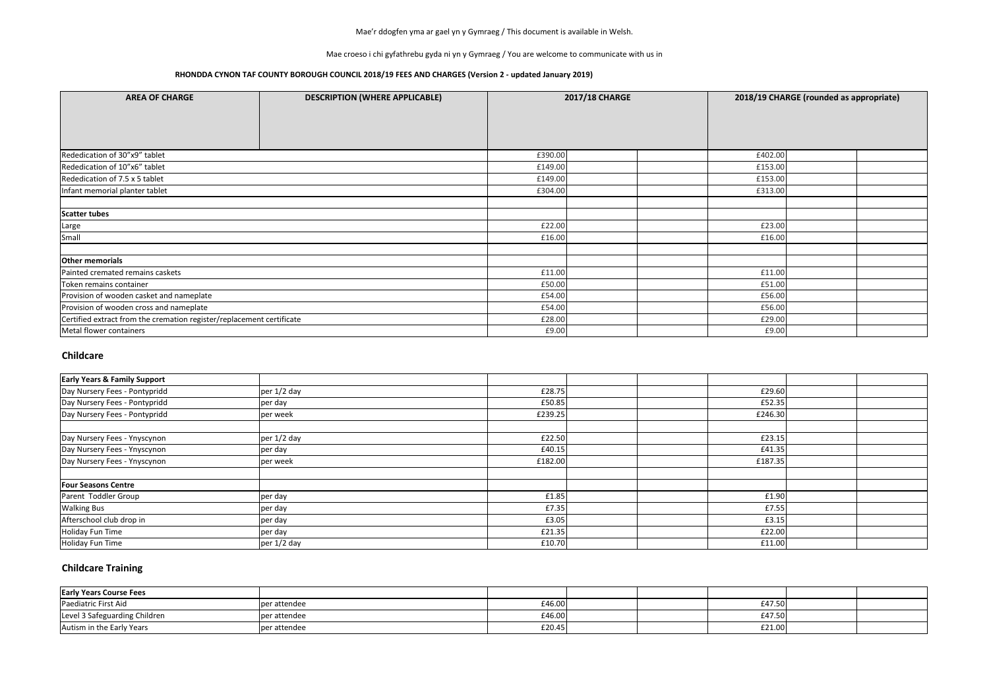Mae croeso i chi gyfathrebu gyda ni yn y Gymraeg / You are welcome to communicate with us in

### **RHONDDA CYNON TAF COUNTY BOROUGH COUNCIL 2018/19 FEES AND CHARGES (Version 2 - updated January 2019)**

## **Childcare**

| <b>Early Years &amp; Family Support</b> |             |         |  |         |  |
|-----------------------------------------|-------------|---------|--|---------|--|
| Day Nursery Fees - Pontypridd           | per 1/2 day | £28.75  |  | £29.60  |  |
| Day Nursery Fees - Pontypridd           | per day     | £50.85  |  | £52.35  |  |
| Day Nursery Fees - Pontypridd           | per week    | £239.25 |  | £246.30 |  |
|                                         |             |         |  |         |  |
| Day Nursery Fees - Ynyscynon            | per 1/2 day | £22.50  |  | £23.15  |  |
| Day Nursery Fees - Ynyscynon            | per day     | £40.15  |  | £41.35  |  |
| Day Nursery Fees - Ynyscynon            | per week    | £182.00 |  | £187.35 |  |
|                                         |             |         |  |         |  |
| <b>Four Seasons Centre</b>              |             |         |  |         |  |
| Parent Toddler Group                    | per day     | £1.85   |  | £1.90   |  |
| <b>Walking Bus</b>                      | per day     | £7.35   |  | £7.55   |  |
| Afterschool club drop in                | per day     | £3.05   |  | £3.15   |  |
| Holiday Fun Time                        | per day     | £21.35  |  | £22.00  |  |
| Holiday Fun Time                        | per 1/2 day | £10.70  |  | £11.00  |  |

| <b>AREA OF CHARGE</b>                                                 | <b>DESCRIPTION (WHERE APPLICABLE)</b> |         | <b>2017/18 CHARGE</b> |         | 2018/19 CHARGE (rounded as appropriate) |  |
|-----------------------------------------------------------------------|---------------------------------------|---------|-----------------------|---------|-----------------------------------------|--|
|                                                                       |                                       |         |                       |         |                                         |  |
|                                                                       |                                       |         |                       |         |                                         |  |
|                                                                       |                                       |         |                       |         |                                         |  |
| Rededication of 30"x9" tablet                                         |                                       | £390.00 |                       | £402.00 |                                         |  |
| Rededication of 10"x6" tablet                                         |                                       | £149.00 |                       | £153.00 |                                         |  |
| Rededication of 7.5 x 5 tablet                                        |                                       | £149.00 |                       | £153.00 |                                         |  |
| Infant memorial planter tablet                                        |                                       | £304.00 |                       | £313.00 |                                         |  |
|                                                                       |                                       |         |                       |         |                                         |  |
| <b>Scatter tubes</b>                                                  |                                       |         |                       |         |                                         |  |
| Large                                                                 |                                       | £22.00  |                       | £23.00  |                                         |  |
| Small                                                                 |                                       | £16.00  |                       | £16.00  |                                         |  |
|                                                                       |                                       |         |                       |         |                                         |  |
| <b>Other memorials</b>                                                |                                       |         |                       |         |                                         |  |
| Painted cremated remains caskets                                      |                                       | £11.00  |                       | £11.00  |                                         |  |
| Token remains container                                               |                                       | £50.00  |                       | £51.00  |                                         |  |
| Provision of wooden casket and nameplate                              |                                       | £54.00  |                       | £56.00  |                                         |  |
| Provision of wooden cross and nameplate                               |                                       | £54.00  |                       | £56.00  |                                         |  |
| Certified extract from the cremation register/replacement certificate |                                       | £28.00  |                       | £29.00  |                                         |  |
| Metal flower containers                                               |                                       | £9.00   |                       | £9.00   |                                         |  |

## **Childcare Training**

| <b>Early Years Course Fees</b> |              |        |  |        |  |
|--------------------------------|--------------|--------|--|--------|--|
| Paediatric First Aid           | per attendee | £46.00 |  | £47.50 |  |
| Level 3 Safeguarding Children  | per attendee | £46.00 |  | £47.50 |  |
| Autism in the Early Years      | per attendee | £20.45 |  | £21.00 |  |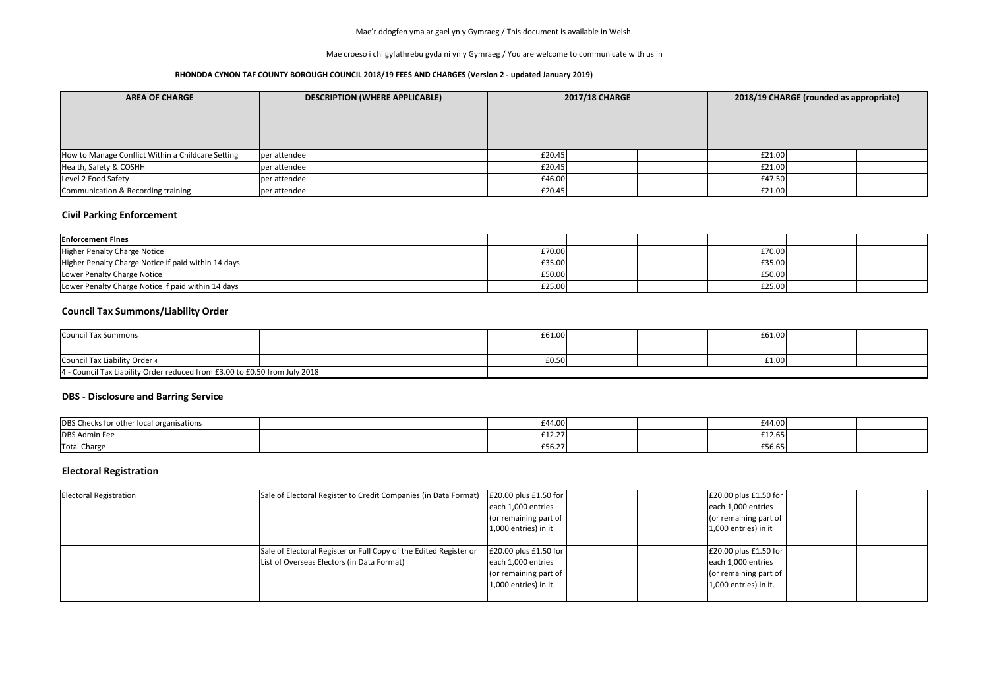Mae croeso i chi gyfathrebu gyda ni yn y Gymraeg / You are welcome to communicate with us in

#### **RHONDDA CYNON TAF COUNTY BOROUGH COUNCIL 2018/19 FEES AND CHARGES (Version 2 - updated January 2019)**

| <b>AREA OF CHARGE</b>                             | <b>DESCRIPTION (WHERE APPLICABLE)</b> | <b>2017/18 CHARGE</b> |  | 2018/19 CHARGE (rounded as appropriate) |  |  |
|---------------------------------------------------|---------------------------------------|-----------------------|--|-----------------------------------------|--|--|
|                                                   |                                       |                       |  |                                         |  |  |
| How to Manage Conflict Within a Childcare Setting | per attendee                          | £20.45                |  | £21.00                                  |  |  |
| Health, Safety & COSHH                            | per attendee                          | £20.45                |  | £21.00                                  |  |  |
| Level 2 Food Safety                               | per attendee                          | £46.00                |  | £47.50                                  |  |  |
| Communication & Recording training                | per attendee                          | £20.45                |  | £21.00                                  |  |  |

## **Civil Parking Enforcement**

### **Council Tax Summons/Liability Order**

## **DBS - Disclosure and Barring Service**

| DBS Checks for oth<br>ks for other local organisations | £44.00 | £44.00                  |  |
|--------------------------------------------------------|--------|-------------------------|--|
| <b>DBS Admin Fee</b>                                   | £12.27 | 0.020<br>£12.65         |  |
| <b>Total Charge</b>                                    | £56.27 | $\sim$ $\sim$<br>L56.65 |  |

# **Electoral Registration**

| <b>Enforcement Fines</b>                            |        |  |        |  |
|-----------------------------------------------------|--------|--|--------|--|
| Higher Penalty Charge Notice                        | £70.00 |  | £70.00 |  |
| Higher Penalty Charge Notice if paid within 14 days | £35.00 |  | £35.00 |  |
| Lower Penalty Charge Notice                         | £50.00 |  | £50.00 |  |
| Lower Penalty Charge Notice if paid within 14 days  | £25.00 |  | £25.00 |  |

| <b>Electoral Registration</b> | Sale of Electoral Register to Credit Companies (in Data Format)                                                 | $\left  \frac{20.00 \text{ plus } £1.50 \text{ for}}{\right }$<br>each 1,000 entries<br>(or remaining part of<br>$1,000$ entries) in it  | £20.00 plus £1.50 for<br>each 1,000 entries<br>(or remaining part of<br>1,000 entries) in it    |  |
|-------------------------------|-----------------------------------------------------------------------------------------------------------------|------------------------------------------------------------------------------------------------------------------------------------------|-------------------------------------------------------------------------------------------------|--|
|                               | Sale of Electoral Register or Full Copy of the Edited Register or<br>List of Overseas Electors (in Data Format) | $\left  \frac{20.00 \text{ plus } £1.50 \text{ for}}{\right }$<br>each 1,000 entries<br>(or remaining part of<br>$1,000$ entries) in it. | £20.00 plus £1.50 for<br>each 1,000 entries<br>(or remaining part of<br>$1,000$ entries) in it. |  |

| Council Tax Summons                                                        |  | £61.00 |  | £61.00 |  |
|----------------------------------------------------------------------------|--|--------|--|--------|--|
| Council Tax Liability Order 4                                              |  | £0.50  |  | £1.00  |  |
| 4 - Council Tax Liability Order reduced from £3.00 to £0.50 from July 2018 |  |        |  |        |  |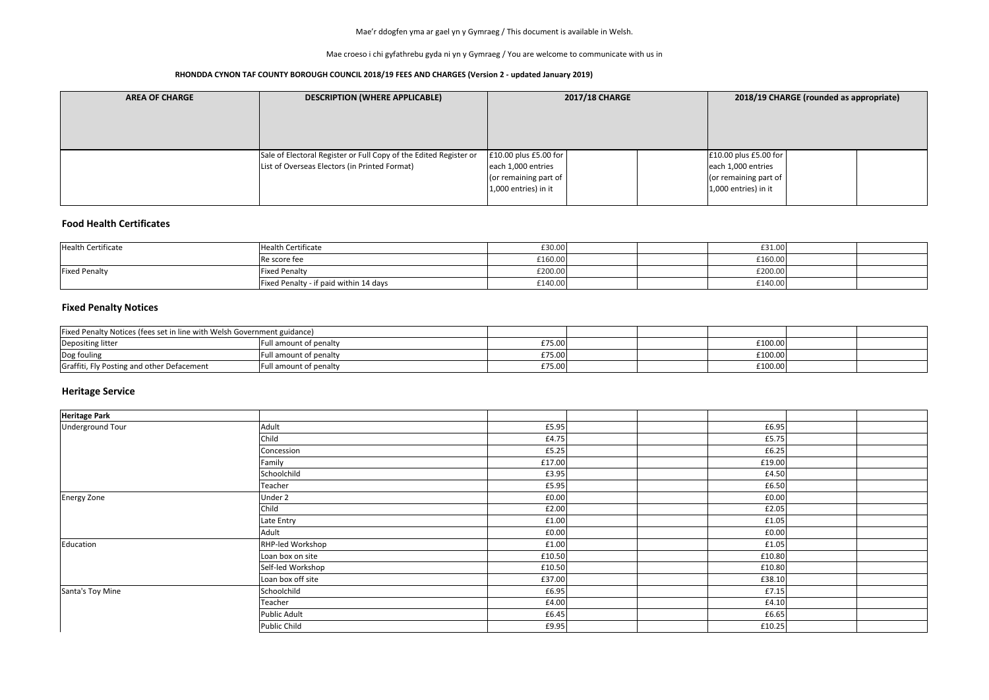Mae croeso i chi gyfathrebu gyda ni yn y Gymraeg / You are welcome to communicate with us in

### **RHONDDA CYNON TAF COUNTY BOROUGH COUNCIL 2018/19 FEES AND CHARGES (Version 2 - updated January 2019)**

| <b>AREA OF CHARGE</b> | <b>DESCRIPTION (WHERE APPLICABLE)</b>                             | <b>2017/18 CHARGE</b>  | 2018/19 CHARGE (rounded as appropriate) |                        |  |  |
|-----------------------|-------------------------------------------------------------------|------------------------|-----------------------------------------|------------------------|--|--|
|                       |                                                                   |                        |                                         |                        |  |  |
|                       |                                                                   |                        |                                         |                        |  |  |
|                       |                                                                   |                        |                                         |                        |  |  |
|                       | Sale of Electoral Register or Full Copy of the Edited Register or | £10.00 plus £5.00 for  |                                         | £10.00 plus £5.00 for  |  |  |
|                       | List of Overseas Electors (in Printed Format)                     | each 1,000 entries     |                                         | each 1,000 entries     |  |  |
|                       |                                                                   | (or remaining part of  |                                         | (or remaining part of  |  |  |
|                       |                                                                   | $1,000$ entries) in it |                                         | $1,000$ entries) in it |  |  |
|                       |                                                                   |                        |                                         |                        |  |  |

## **Food Health Certificates**

## **Heritage Service**

| Health Certificate   | Health Certificate                     | £30.00  |  | £31.00  |  |
|----------------------|----------------------------------------|---------|--|---------|--|
|                      | l Re score fee                         | £160.00 |  | £160.00 |  |
| <b>Fixed Penalty</b> | <b>Fixed Penalty</b>                   | £200.00 |  | £200.00 |  |
|                      | Fixed Penalty - if paid within 14 days | £140.00 |  | £140.00 |  |

| Fixed Penalty Notices (fees set in line with Welsh Government guidance) |                                    |        |  |         |  |
|-------------------------------------------------------------------------|------------------------------------|--------|--|---------|--|
| Depositing litter                                                       | ull amount of penalty              | £75.00 |  | £100.00 |  |
| Dog fouling                                                             | ull amount of penalty <sup>:</sup> | £75.00 |  | £100.00 |  |
| Graffiti, Fly Posting and other Defacement                              | Full amount of penalty             | £75.00 |  | £100.00 |  |

| Heritage Park      |                   |        |  |        |  |
|--------------------|-------------------|--------|--|--------|--|
| Underground Tour   | Adult             | £5.95  |  | £6.95  |  |
|                    | Child             | £4.75  |  | £5.75  |  |
|                    | Concession        | £5.25  |  | £6.25  |  |
|                    | Family            | £17.00 |  | £19.00 |  |
|                    | Schoolchild       | £3.95  |  | £4.50  |  |
|                    | Teacher           | £5.95  |  | £6.50  |  |
| <b>Energy Zone</b> | Under 2           | £0.00  |  | £0.00  |  |
|                    | Child             | £2.00  |  | £2.05  |  |
|                    | Late Entry        | £1.00  |  | £1.05  |  |
|                    | Adult             | £0.00  |  | £0.00  |  |
| Education          | RHP-led Workshop  | £1.00  |  | £1.05  |  |
|                    | Loan box on site  | £10.50 |  | £10.80 |  |
|                    | Self-led Workshop | £10.50 |  | £10.80 |  |
|                    | Loan box off site | £37.00 |  | £38.10 |  |
| Santa's Toy Mine   | Schoolchild       | £6.95  |  | £7.15  |  |
|                    | Teacher           | £4.00  |  | £4.10  |  |
|                    | Public Adult      | £6.45  |  | £6.65  |  |
|                    | Public Child      | £9.95  |  | £10.25 |  |

## **Fixed Penalty Notices**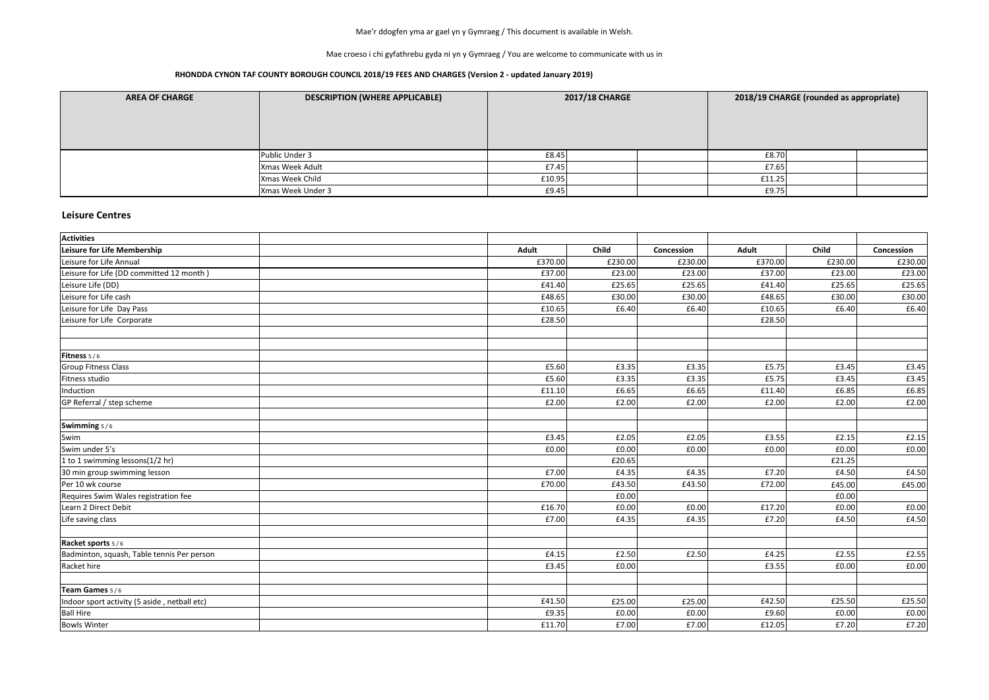Mae croeso i chi gyfathrebu gyda ni yn y Gymraeg / You are welcome to communicate with us in

### **RHONDDA CYNON TAF COUNTY BOROUGH COUNCIL 2018/19 FEES AND CHARGES (Version 2 - updated January 2019)**

| <b>AREA OF CHARGE</b> | <b>DESCRIPTION (WHERE APPLICABLE)</b> | <b>2017/18 CHARGE</b> |  | 2018/19 CHARGE (rounded as appropriate) |        |  |  |
|-----------------------|---------------------------------------|-----------------------|--|-----------------------------------------|--------|--|--|
|                       |                                       |                       |  |                                         |        |  |  |
|                       | Public Under 3                        | £8.45                 |  |                                         | £8.70  |  |  |
|                       | Xmas Week Adult                       | £7.45                 |  |                                         | £7.65  |  |  |
|                       | Xmas Week Child                       | £10.95                |  |                                         | £11.25 |  |  |
|                       | Xmas Week Under 3                     | £9.45                 |  |                                         | E9.75  |  |  |

### **Leisure Centres**

| <b>Activities</b>                            |              |         |            |              |              |            |
|----------------------------------------------|--------------|---------|------------|--------------|--------------|------------|
| Leisure for Life Membership                  | <b>Adult</b> | Child   | Concession | <b>Adult</b> | <b>Child</b> | Concession |
| Leisure for Life Annual                      | £370.00      | £230.00 | £230.00    | £370.00      | £230.00      | £230.00    |
| Leisure for Life (DD committed 12 month)     | £37.00       | £23.00  | £23.00     | £37.00       | £23.00       | £23.00     |
| Leisure Life (DD)                            | £41.40       | £25.65  | £25.65     | £41.40       | £25.65       | £25.65     |
| Leisure for Life cash                        | £48.65       | £30.00  | £30.00     | £48.65       | £30.00       | £30.00     |
| Leisure for Life Day Pass                    | £10.65       | £6.40   | £6.40      | £10.65       | £6.40        | £6.40      |
| Leisure for Life Corporate                   | £28.50       |         |            | £28.50       |              |            |
| <b>Fitness</b> $5/6$                         |              |         |            |              |              |            |
| <b>Group Fitness Class</b>                   | £5.60        | £3.35   | £3.35      | £5.75        | £3.45        | £3.45      |
| Fitness studio                               | £5.60        | £3.35   | £3.35      | £5.75        | £3.45        | £3.45      |
| Induction                                    | £11.10       | £6.65   | £6.65      | £11.40       | £6.85        | £6.85      |
| GP Referral / step scheme                    | £2.00        | £2.00   | £2.00      | £2.00        | £2.00        | £2.00      |
| Swimming 5/6                                 |              |         |            |              |              |            |
| Swim                                         | £3.45        | £2.05   | £2.05      | £3.55        | £2.15        | E2.15      |
| Swim under 5's                               | £0.00        | £0.00   | £0.00      | £0.00        | £0.00        | £0.00      |
| 1 to 1 swimming lessons(1/2 hr)              |              | £20.65  |            |              | £21.25       |            |
| 30 min group swimming lesson                 | £7.00        | £4.35   | £4.35      | £7.20        | £4.50        | £4.50      |
| Per 10 wk course                             | £70.00       | £43.50  | £43.50     | £72.00       | £45.00       | £45.00     |
| Requires Swim Wales registration fee         |              | £0.00   |            |              | £0.00        |            |
| Learn 2 Direct Debit                         | £16.70       | £0.00   | £0.00      | £17.20       | £0.00        | £0.00      |
| Life saving class                            | £7.00        | £4.35   | £4.35      | £7.20        | £4.50        | £4.50      |
| Racket sports 5/6                            |              |         |            |              |              |            |
| Badminton, squash, Table tennis Per person   | £4.15        | £2.50   | £2.50      | £4.25        | £2.55        | £2.55      |
| Racket hire                                  | £3.45        | £0.00   |            | £3.55        | £0.00        | £0.00      |
| Team Games 5/6                               |              |         |            |              |              |            |
| Indoor sport activity (5 aside, netball etc) | £41.50       | £25.00  | £25.00     | £42.50       | £25.50       | £25.50     |
| <b>Ball Hire</b>                             | £9.35        | £0.00   | £0.00      | £9.60        | £0.00        | £0.00      |
| <b>Bowls Winter</b>                          | £11.70       | £7.00   | £7.00      | £12.05       | £7.20        | £7.20      |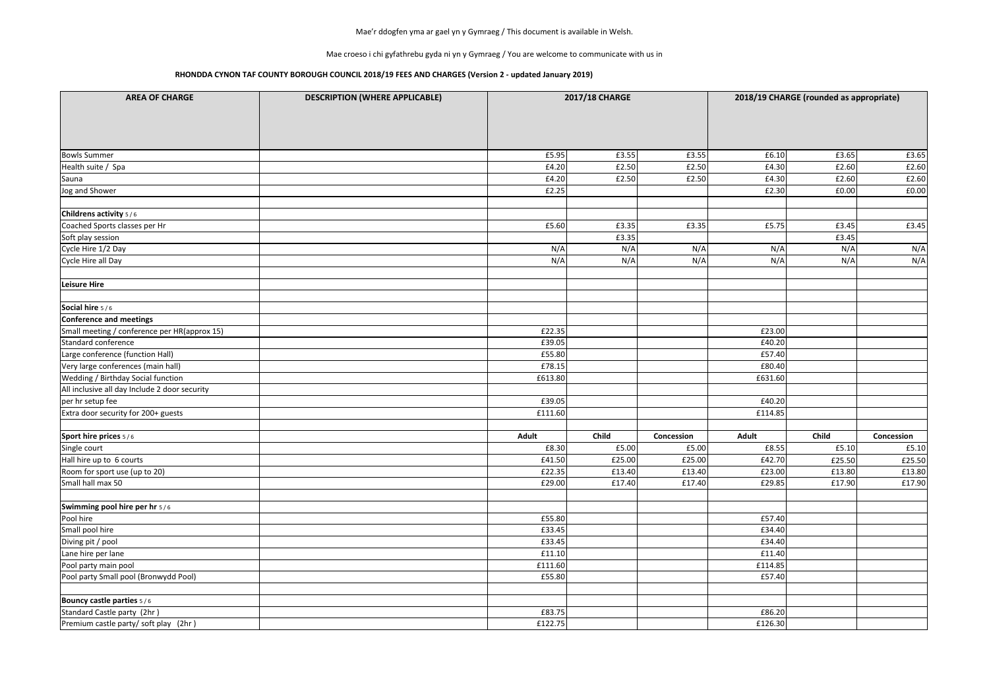Mae croeso i chi gyfathrebu gyda ni yn y Gymraeg / You are welcome to communicate with us in

| <b>AREA OF CHARGE</b>                         | <b>DESCRIPTION (WHERE APPLICABLE)</b> |              | <b>2017/18 CHARGE</b> |            |              | 2018/19 CHARGE (rounded as appropriate) |            |
|-----------------------------------------------|---------------------------------------|--------------|-----------------------|------------|--------------|-----------------------------------------|------------|
|                                               |                                       |              |                       |            |              |                                         |            |
| <b>Bowls Summer</b>                           |                                       | £5.95        | £3.55                 | £3.55      | £6.10        | £3.65                                   | £3.65      |
| Health suite / Spa                            |                                       | £4.20        | £2.50                 | £2.50      | £4.30        | £2.60                                   | £2.60      |
| Sauna                                         |                                       | £4.20        | £2.50                 | £2.50      | £4.30        | £2.60                                   | £2.60      |
| Jog and Shower                                |                                       | £2.25        |                       |            | £2.30        | £0.00                                   | £0.00      |
| Childrens activity 5/6                        |                                       |              |                       |            |              |                                         |            |
| Coached Sports classes per Hr                 |                                       | £5.60        | £3.35                 | £3.35      | £5.75        | £3.45                                   | £3.45      |
| Soft play session                             |                                       |              | £3.35                 |            |              | £3.45                                   |            |
| Cycle Hire 1/2 Day                            |                                       | N/A          | N/A                   | N/A        | N/A          | N/A                                     | N/A        |
| Cycle Hire all Day                            |                                       | N/A          | N/A                   | N/A        | N/A          | N/A                                     | N/A        |
| Leisure Hire                                  |                                       |              |                       |            |              |                                         |            |
| Social hire 5/6                               |                                       |              |                       |            |              |                                         |            |
| Conference and meetings                       |                                       |              |                       |            |              |                                         |            |
| Small meeting / conference per HR(approx 15)  |                                       | £22.35       |                       |            | £23.00       |                                         |            |
| Standard conference                           |                                       | £39.05       |                       |            | £40.20       |                                         |            |
| Large conference (function Hall)              |                                       | £55.80       |                       |            | £57.40       |                                         |            |
| Very large conferences (main hall)            |                                       | £78.15       |                       |            | £80.40       |                                         |            |
| <b>Wedding / Birthday Social function</b>     |                                       | £613.80      |                       |            | £631.60      |                                         |            |
| All inclusive all day Include 2 door security |                                       |              |                       |            |              |                                         |            |
| per hr setup fee                              |                                       | £39.05       |                       |            | £40.20       |                                         |            |
| Extra door security for 200+ guests           |                                       | £111.60      |                       |            | £114.85      |                                         |            |
| Sport hire prices 5/6                         |                                       | <b>Adult</b> | Child                 | Concession | <b>Adult</b> | Child                                   | Concession |
| Single court                                  |                                       | £8.30        | £5.00                 | £5.00      | £8.55        | £5.10                                   | £5.10      |
| Hall hire up to 6 courts                      |                                       | £41.50       | £25.00                | £25.00     | £42.70       | £25.50                                  | £25.50     |
| Room for sport use (up to 20)                 |                                       | £22.35       | £13.40                | £13.40     | £23.00       | £13.80                                  | £13.80     |
| Small hall max 50                             |                                       | £29.00       | £17.40                | £17.40     | £29.85       | £17.90                                  | £17.90     |
| Swimming pool hire per hr 5/6                 |                                       |              |                       |            |              |                                         |            |
| Pool hire                                     |                                       | £55.80       |                       |            | £57.40       |                                         |            |
| Small pool hire                               |                                       | £33.45       |                       |            | £34.40       |                                         |            |
| Diving pit / pool                             |                                       | £33.45       |                       |            | £34.40       |                                         |            |
| Lane hire per lane                            |                                       | £11.10       |                       |            | £11.40       |                                         |            |
| Pool party main pool                          |                                       | £111.60      |                       |            | £114.85      |                                         |            |
| Pool party Small pool (Bronwydd Pool)         |                                       | £55.80       |                       |            | £57.40       |                                         |            |
| <b>Bouncy castle parties 5/6</b>              |                                       |              |                       |            |              |                                         |            |
| Standard Castle party (2hr)                   |                                       | £83.75       |                       |            | £86.20       |                                         |            |
| Premium castle party/ soft play (2hr)         |                                       | £122.75      |                       |            | £126.30      |                                         |            |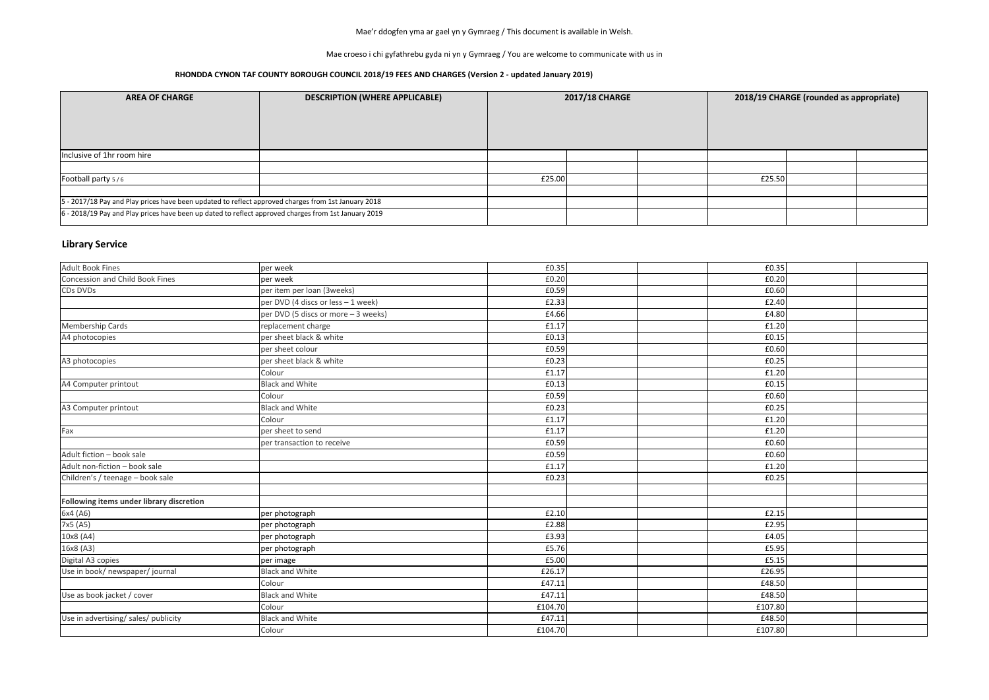Mae croeso i chi gyfathrebu gyda ni yn y Gymraeg / You are welcome to communicate with us in

### **RHONDDA CYNON TAF COUNTY BOROUGH COUNCIL 2018/19 FEES AND CHARGES (Version 2 - updated January 2019)**

## **Library Service**

| <b>AREA OF CHARGE</b>                                                                                | <b>DESCRIPTION (WHERE APPLICABLE)</b> | <b>2017/18 CHARGE</b> |  |  | 2018/19 CHARGE (rounded as appropriate) |  |  |  |
|------------------------------------------------------------------------------------------------------|---------------------------------------|-----------------------|--|--|-----------------------------------------|--|--|--|
| Inclusive of 1hr room hire                                                                           |                                       |                       |  |  |                                         |  |  |  |
|                                                                                                      |                                       |                       |  |  |                                         |  |  |  |
| Football party 5/6                                                                                   |                                       | £25.00                |  |  | £25.50                                  |  |  |  |
|                                                                                                      |                                       |                       |  |  |                                         |  |  |  |
| 5 - 2017/18 Pay and Play prices have been updated to reflect approved charges from 1st January 2018  |                                       |                       |  |  |                                         |  |  |  |
| 6 - 2018/19 Pay and Play prices have been up dated to reflect approved charges from 1st January 2019 |                                       |                       |  |  |                                         |  |  |  |

| <b>Adult Book Fines</b>                  | per week                            | £0.35   |  | £0.35   |  |
|------------------------------------------|-------------------------------------|---------|--|---------|--|
| Concession and Child Book Fines          | per week                            | £0.20   |  | £0.20   |  |
| CDs DVDs                                 | per item per loan (3weeks)          | £0.59   |  | £0.60   |  |
|                                          | per DVD (4 discs or less - 1 week)  | £2.33   |  | £2.40   |  |
|                                          | per DVD (5 discs or more - 3 weeks) | £4.66   |  | £4.80   |  |
| <b>Membership Cards</b>                  | replacement charge                  | £1.17   |  | £1.20   |  |
| A4 photocopies                           | per sheet black & white             | £0.13   |  | £0.15   |  |
|                                          | per sheet colour                    | £0.59   |  | £0.60   |  |
| A3 photocopies                           | per sheet black & white             | £0.23   |  | £0.25   |  |
|                                          | Colour                              | £1.17   |  | £1.20   |  |
| A4 Computer printout                     | <b>Black and White</b>              | £0.13   |  | £0.15   |  |
|                                          | Colour                              | £0.59   |  | £0.60   |  |
| A3 Computer printout                     | <b>Black and White</b>              | £0.23   |  | £0.25   |  |
|                                          | Colour                              | £1.17   |  | £1.20   |  |
| Fax                                      | per sheet to send                   | £1.17   |  | £1.20   |  |
|                                          | per transaction to receive          | £0.59   |  | £0.60   |  |
| Adult fiction - book sale                |                                     | £0.59   |  | £0.60   |  |
| Adult non-fiction - book sale            |                                     | £1.17   |  | £1.20   |  |
| Children's / teenage - book sale         |                                     | £0.23   |  | £0.25   |  |
|                                          |                                     |         |  |         |  |
| Following items under library discretion |                                     |         |  |         |  |
| 6x4 (A6)                                 | per photograph                      | £2.10   |  | £2.15   |  |
| 7x5 (A5)                                 | per photograph                      | £2.88   |  | £2.95   |  |
| 10x8 (A4)                                | per photograph                      | £3.93   |  | £4.05   |  |
| 16x8 (A3)                                | per photograph                      | £5.76   |  | £5.95   |  |
| Digital A3 copies                        | per image                           | £5.00   |  | £5.15   |  |
| Use in book/ newspaper/ journal          | <b>Black and White</b>              | £26.17  |  | £26.95  |  |
|                                          | Colour                              | £47.11  |  | £48.50  |  |
| Use as book jacket / cover               | <b>Black and White</b>              | £47.11  |  | £48.50  |  |
|                                          | Colour                              | £104.70 |  | £107.80 |  |
| Use in advertising/ sales/ publicity     | <b>Black and White</b>              | £47.11  |  | £48.50  |  |
|                                          | Colour                              | £104.70 |  | £107.80 |  |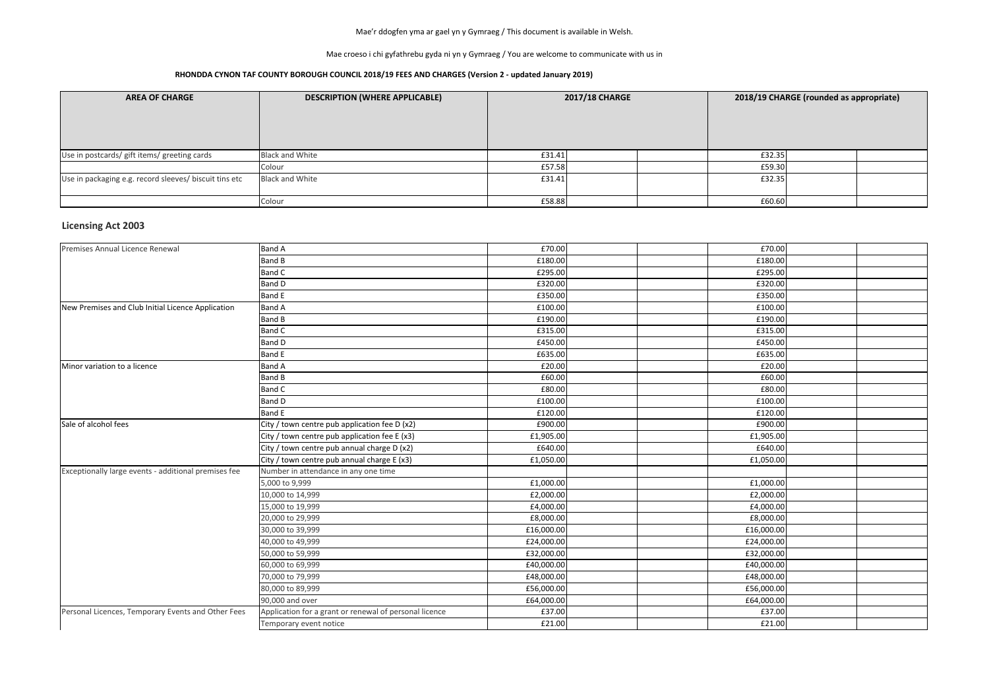Mae croeso i chi gyfathrebu gyda ni yn y Gymraeg / You are welcome to communicate with us in

### **RHONDDA CYNON TAF COUNTY BOROUGH COUNCIL 2018/19 FEES AND CHARGES (Version 2 - updated January 2019)**

| <b>AREA OF CHARGE</b>                                  | <b>DESCRIPTION (WHERE APPLICABLE)</b> | <b>2017/18 CHARGE</b> |  | 2018/19 CHARGE (rounded as appropriate) |  |  |
|--------------------------------------------------------|---------------------------------------|-----------------------|--|-----------------------------------------|--|--|
| Use in postcards/ gift items/ greeting cards           | <b>Black and White</b>                | £31.41                |  | £32.35                                  |  |  |
|                                                        | Colour                                | £57.58                |  | £59.30                                  |  |  |
| Use in packaging e.g. record sleeves/ biscuit tins etc | <b>Black and White</b>                | £31.41                |  | £32.35                                  |  |  |
|                                                        | Colour                                | £58.88                |  | £60.60                                  |  |  |

## **Licensing Act 2003**

| Premises Annual Licence Renewal                      | <b>Band A</b>                                          | £70.00     | £70.00     |  |
|------------------------------------------------------|--------------------------------------------------------|------------|------------|--|
|                                                      | <b>Band B</b>                                          | £180.00    | £180.00    |  |
|                                                      | <b>Band C</b>                                          | £295.00    | £295.00    |  |
|                                                      | <b>Band D</b>                                          | £320.00    | £320.00    |  |
|                                                      | <b>Band E</b>                                          | £350.00    | £350.00    |  |
| New Premises and Club Initial Licence Application    | <b>Band A</b>                                          | £100.00    | £100.00    |  |
|                                                      | <b>Band B</b>                                          | £190.00    | £190.00    |  |
|                                                      | <b>Band C</b>                                          | £315.00    | £315.00    |  |
|                                                      | <b>Band D</b>                                          | £450.00    | £450.00    |  |
|                                                      | <b>Band E</b>                                          | £635.00    | £635.00    |  |
| Minor variation to a licence                         | <b>Band A</b>                                          | £20.00     | £20.00     |  |
|                                                      | <b>Band B</b>                                          | £60.00     | £60.00     |  |
|                                                      | <b>Band C</b>                                          | £80.00     | £80.00     |  |
|                                                      | <b>Band D</b>                                          | £100.00    | £100.00    |  |
|                                                      | <b>Band E</b>                                          | £120.00    | £120.00    |  |
| Sale of alcohol fees                                 | City / town centre pub application fee D (x2)          | £900.00    | £900.00    |  |
|                                                      | City / town centre pub application fee E (x3)          | £1,905.00  | £1,905.00  |  |
|                                                      | City / town centre pub annual charge D (x2)            | £640.00    | £640.00    |  |
|                                                      | City / town centre pub annual charge E (x3)            | £1,050.00  | £1,050.00  |  |
| Exceptionally large events - additional premises fee | Number in attendance in any one time                   |            |            |  |
|                                                      | 5,000 to 9,999                                         | £1,000.00  | £1,000.00  |  |
|                                                      | 10,000 to 14,999                                       | £2,000.00  | £2,000.00  |  |
|                                                      | 15,000 to 19,999                                       | £4,000.00  | £4,000.00  |  |
|                                                      | 20,000 to 29,999                                       | £8,000.00  | £8,000.00  |  |
|                                                      | 30,000 to 39,999                                       | £16,000.00 | £16,000.00 |  |
|                                                      | 40,000 to 49,999                                       | £24,000.00 | £24,000.00 |  |
|                                                      | 50,000 to 59,999                                       | £32,000.00 | £32,000.00 |  |
|                                                      | 60,000 to 69,999                                       | £40,000.00 | £40,000.00 |  |
|                                                      | 70,000 to 79,999                                       | £48,000.00 | £48,000.00 |  |
|                                                      | 80,000 to 89,999                                       | £56,000.00 | £56,000.00 |  |
|                                                      | 90,000 and over                                        | £64,000.00 | £64,000.00 |  |
| Personal Licences, Temporary Events and Other Fees   | Application for a grant or renewal of personal licence | £37.00     | £37.00     |  |
|                                                      | Temporary event notice                                 | £21.00     | £21.00     |  |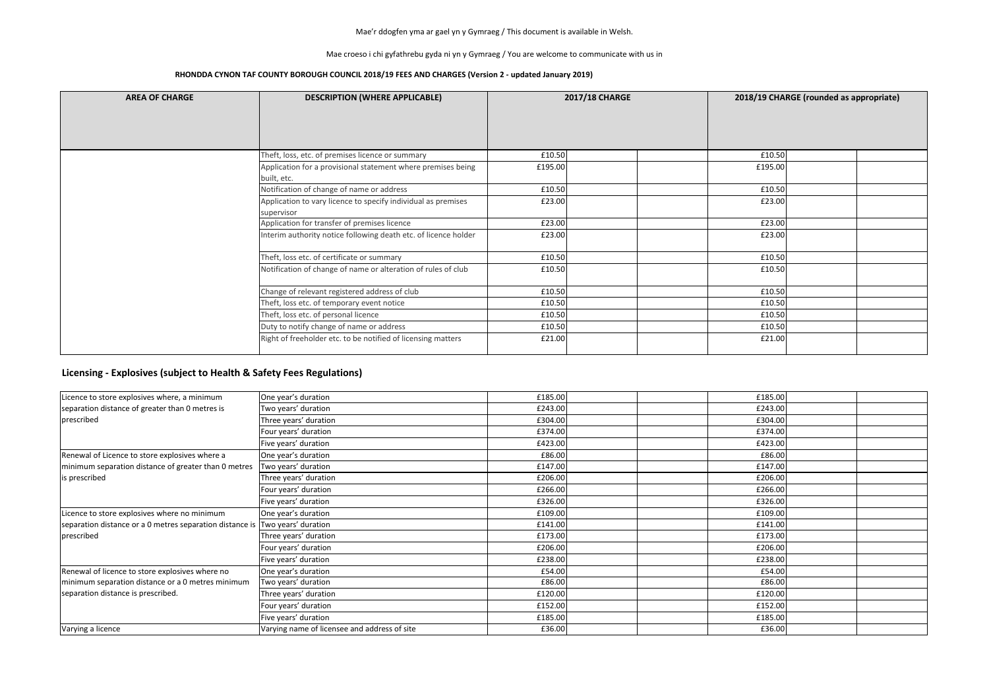Mae croeso i chi gyfathrebu gyda ni yn y Gymraeg / You are welcome to communicate with us in

#### **RHONDDA CYNON TAF COUNTY BOROUGH COUNCIL 2018/19 FEES AND CHARGES (Version 2 - updated January 2019)**

| <b>AREA OF CHARGE</b> | <b>DESCRIPTION (WHERE APPLICABLE)</b>                           | <b>2017/18 CHARGE</b> |         | 2018/19 CHARGE (rounded as appropriate) |
|-----------------------|-----------------------------------------------------------------|-----------------------|---------|-----------------------------------------|
|                       |                                                                 |                       |         |                                         |
|                       |                                                                 |                       |         |                                         |
|                       | Theft, loss, etc. of premises licence or summary                | £10.50                | £10.50  |                                         |
|                       | Application for a provisional statement where premises being    | £195.00               | £195.00 |                                         |
|                       | built, etc.                                                     |                       |         |                                         |
|                       | Notification of change of name or address                       | £10.50                |         | £10.50                                  |
|                       | Application to vary licence to specify individual as premises   | £23.00                |         | £23.00                                  |
|                       | supervisor                                                      |                       |         |                                         |
|                       | Application for transfer of premises licence                    | £23.00                | £23.00  |                                         |
|                       | Interim authority notice following death etc. of licence holder | £23.00                | £23.00  |                                         |
|                       | Theft, loss etc. of certificate or summary                      | £10.50                |         | £10.50                                  |
|                       | Notification of change of name or alteration of rules of club   | £10.50                | £10.50  |                                         |
|                       | Change of relevant registered address of club                   | £10.50                | £10.50  |                                         |
|                       | Theft, loss etc. of temporary event notice                      | £10.50                | £10.50  |                                         |
|                       | Theft, loss etc. of personal licence                            | £10.50                | £10.50  |                                         |
|                       | Duty to notify change of name or address                        | £10.50                |         | £10.50                                  |
|                       | Right of freeholder etc. to be notified of licensing matters    | £21.00                | £21.00  |                                         |

| Licence to store explosives where, a minimum                                 | One year's duration                          | £185.00 |  | £185.00 |  |
|------------------------------------------------------------------------------|----------------------------------------------|---------|--|---------|--|
| separation distance of greater than 0 metres is                              | Two years' duration                          | £243.00 |  | £243.00 |  |
| prescribed                                                                   | Three years' duration                        | £304.00 |  | £304.00 |  |
|                                                                              | Four years' duration                         | £374.00 |  | £374.00 |  |
|                                                                              | Five years' duration                         | £423.00 |  | £423.00 |  |
| Renewal of Licence to store explosives where a                               | One year's duration                          | £86.00  |  | £86.00  |  |
| minimum separation distance of greater than 0 metres                         | Two years' duration                          | £147.00 |  | £147.00 |  |
| is prescribed                                                                | Three years' duration                        | £206.00 |  | £206.00 |  |
|                                                                              | Four years' duration                         | £266.00 |  | £266.00 |  |
|                                                                              | Five years' duration                         | £326.00 |  | £326.00 |  |
| Licence to store explosives where no minimum                                 | One year's duration                          | £109.00 |  | £109.00 |  |
| separation distance or a 0 metres separation distance is Two years' duration |                                              | £141.00 |  | £141.00 |  |
| prescribed                                                                   | Three years' duration                        | £173.00 |  | £173.00 |  |
|                                                                              | Four years' duration                         | £206.00 |  | £206.00 |  |
|                                                                              | Five years' duration                         | £238.00 |  | £238.00 |  |
| Renewal of licence to store explosives where no                              | One year's duration                          | £54.00  |  | £54.00  |  |
| minimum separation distance or a 0 metres minimum                            | Two years' duration                          | £86.00  |  | £86.00  |  |
| separation distance is prescribed.                                           | Three years' duration                        | £120.00 |  | £120.00 |  |
|                                                                              | Four years' duration                         | £152.00 |  | £152.00 |  |
|                                                                              | Five years' duration                         | £185.00 |  | £185.00 |  |
| Varying a licence                                                            | Varying name of licensee and address of site | £36.00  |  | £36.00  |  |

### **Licensing - Explosives (subject to Health & Safety Fees Regulations)**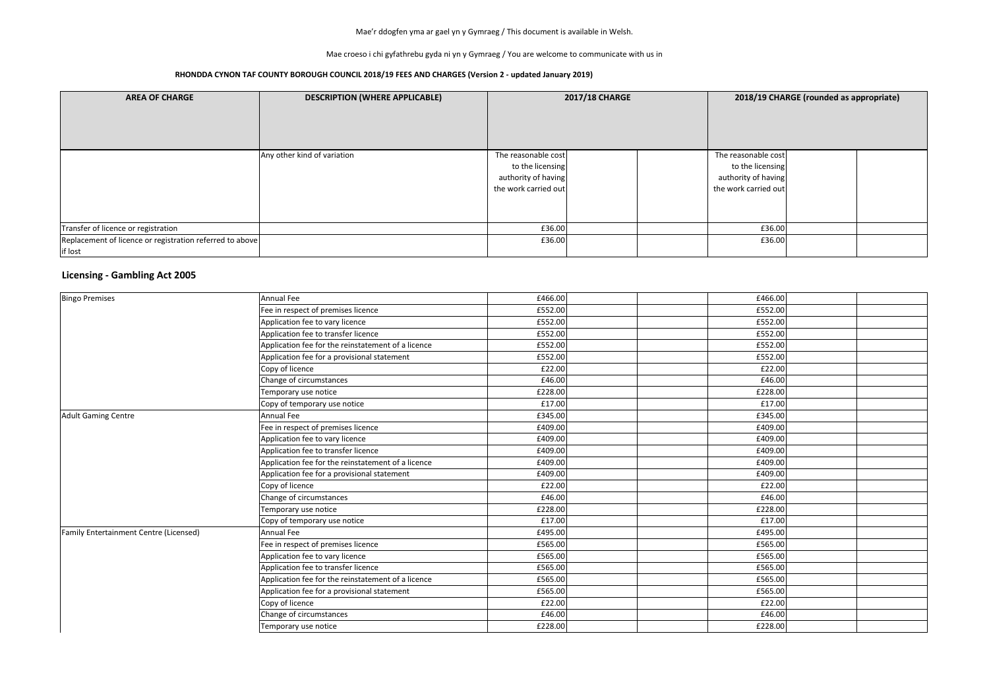Mae croeso i chi gyfathrebu gyda ni yn y Gymraeg / You are welcome to communicate with us in

#### **RHONDDA CYNON TAF COUNTY BOROUGH COUNCIL 2018/19 FEES AND CHARGES (Version 2 - updated January 2019)**

| <b>AREA OF CHARGE</b>                                               | <b>DESCRIPTION (WHERE APPLICABLE)</b> | <b>2017/18 CHARGE</b>                                                                  |  | 2018/19 CHARGE (rounded as appropriate)                                                |  |  |
|---------------------------------------------------------------------|---------------------------------------|----------------------------------------------------------------------------------------|--|----------------------------------------------------------------------------------------|--|--|
|                                                                     |                                       |                                                                                        |  |                                                                                        |  |  |
|                                                                     | Any other kind of variation           | The reasonable cost<br>to the licensing<br>authority of having<br>the work carried out |  | The reasonable cost<br>to the licensing<br>authority of having<br>the work carried out |  |  |
| Transfer of licence or registration                                 |                                       | £36.00                                                                                 |  | £36.00                                                                                 |  |  |
| Replacement of licence or registration referred to above<br>if lost |                                       | £36.00                                                                                 |  | £36.00                                                                                 |  |  |

### **Licensing - Gambling Act 2005**

| <b>Bingo Premises</b>                         | <b>Annual Fee</b>                                  | £466.00 | £466.00 |  |
|-----------------------------------------------|----------------------------------------------------|---------|---------|--|
|                                               | Fee in respect of premises licence                 | £552.00 | £552.00 |  |
|                                               | Application fee to vary licence                    | £552.00 | £552.00 |  |
|                                               | Application fee to transfer licence                | £552.00 | £552.00 |  |
|                                               | Application fee for the reinstatement of a licence | £552.00 | £552.00 |  |
|                                               | Application fee for a provisional statement        | £552.00 | £552.00 |  |
|                                               | Copy of licence                                    | £22.00  | £22.00  |  |
|                                               | Change of circumstances                            | £46.00  | £46.00  |  |
|                                               | Temporary use notice                               | £228.00 | £228.00 |  |
|                                               | Copy of temporary use notice                       | £17.00  | £17.00  |  |
| <b>Adult Gaming Centre</b>                    | Annual Fee                                         | £345.00 | £345.00 |  |
|                                               | Fee in respect of premises licence                 | £409.00 | £409.00 |  |
|                                               | Application fee to vary licence                    | £409.00 | £409.00 |  |
|                                               | Application fee to transfer licence                | £409.00 | £409.00 |  |
|                                               | Application fee for the reinstatement of a licence | £409.00 | £409.00 |  |
|                                               | Application fee for a provisional statement        | £409.00 | £409.00 |  |
|                                               | Copy of licence                                    | £22.00  | £22.00  |  |
|                                               | Change of circumstances                            | £46.00  | £46.00  |  |
|                                               | Temporary use notice                               | £228.00 | £228.00 |  |
|                                               | Copy of temporary use notice                       | £17.00  | £17.00  |  |
| <b>Family Entertainment Centre (Licensed)</b> | <b>Annual Fee</b>                                  | £495.00 | £495.00 |  |
|                                               | Fee in respect of premises licence                 | £565.00 | £565.00 |  |
|                                               | Application fee to vary licence                    | £565.00 | £565.00 |  |
|                                               | Application fee to transfer licence                | £565.00 | £565.00 |  |
|                                               | Application fee for the reinstatement of a licence | £565.00 | £565.00 |  |
|                                               | Application fee for a provisional statement        | £565.00 | £565.00 |  |
|                                               | Copy of licence                                    | £22.00  | £22.00  |  |
|                                               | Change of circumstances                            | £46.00  | £46.00  |  |
|                                               | Temporary use notice                               | £228.00 | £228.00 |  |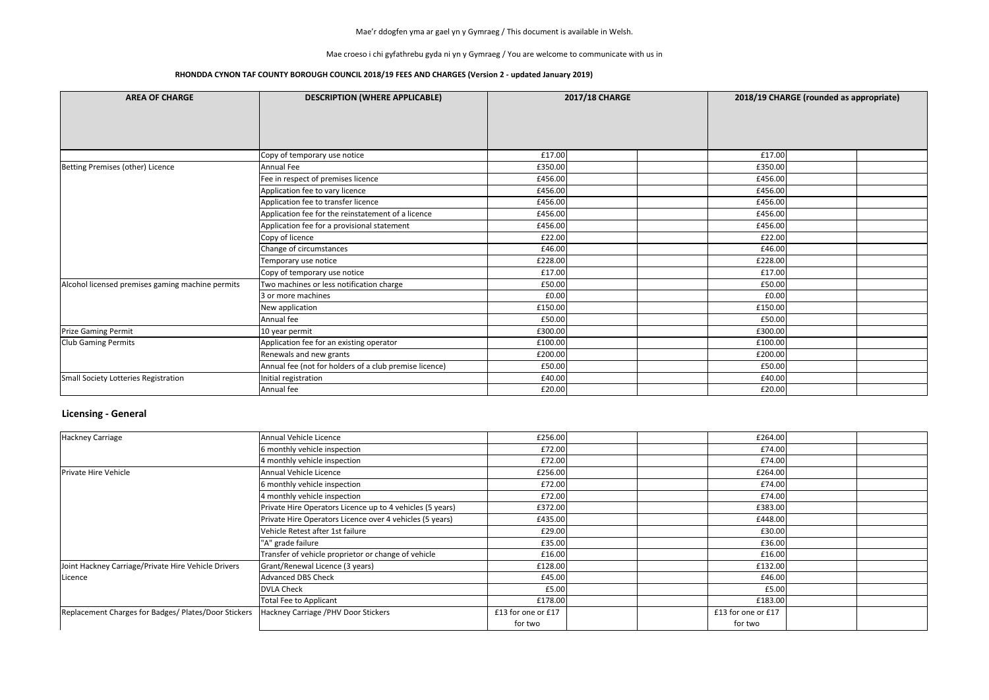#### Mae croeso i chi gyfathrebu gyda ni yn y Gymraeg / You are welcome to communicate with us in

### **RHONDDA CYNON TAF COUNTY BOROUGH COUNCIL 2018/19 FEES AND CHARGES (Version 2 - updated January 2019)**

| <b>AREA OF CHARGE</b>                            | <b>DESCRIPTION (WHERE APPLICABLE)</b>                  |         | <b>2017/18 CHARGE</b> |         | 2018/19 CHARGE (rounded as appropriate) |  |  |
|--------------------------------------------------|--------------------------------------------------------|---------|-----------------------|---------|-----------------------------------------|--|--|
|                                                  |                                                        |         |                       |         |                                         |  |  |
|                                                  |                                                        |         |                       |         |                                         |  |  |
|                                                  |                                                        |         |                       |         |                                         |  |  |
|                                                  | Copy of temporary use notice                           | £17.00  |                       | £17.00  |                                         |  |  |
| Betting Premises (other) Licence                 | Annual Fee                                             | £350.00 |                       | £350.00 |                                         |  |  |
|                                                  | Fee in respect of premises licence                     | £456.00 |                       | £456.00 |                                         |  |  |
|                                                  | Application fee to vary licence                        | £456.00 |                       | £456.00 |                                         |  |  |
|                                                  | Application fee to transfer licence                    | £456.00 |                       | £456.00 |                                         |  |  |
|                                                  | Application fee for the reinstatement of a licence     | £456.00 |                       | £456.00 |                                         |  |  |
|                                                  | Application fee for a provisional statement            | £456.00 |                       | £456.00 |                                         |  |  |
|                                                  | Copy of licence                                        | £22.00  |                       | £22.00  |                                         |  |  |
|                                                  | Change of circumstances                                | £46.00  |                       | £46.00  |                                         |  |  |
|                                                  | Temporary use notice                                   | £228.00 |                       | £228.00 |                                         |  |  |
|                                                  | Copy of temporary use notice                           | £17.00  |                       | £17.00  |                                         |  |  |
| Alcohol licensed premises gaming machine permits | Two machines or less notification charge               | £50.00  |                       | £50.00  |                                         |  |  |
|                                                  | 3 or more machines                                     | £0.00   |                       | £0.00   |                                         |  |  |
|                                                  | New application                                        | £150.00 |                       | £150.00 |                                         |  |  |
|                                                  | Annual fee                                             | £50.00  |                       | £50.00  |                                         |  |  |
| <b>Prize Gaming Permit</b>                       | 10 year permit                                         | £300.00 |                       | £300.00 |                                         |  |  |
| <b>Club Gaming Permits</b>                       | Application fee for an existing operator               | £100.00 |                       | £100.00 |                                         |  |  |
|                                                  | Renewals and new grants                                | £200.00 |                       | £200.00 |                                         |  |  |
|                                                  | Annual fee (not for holders of a club premise licence) | £50.00  |                       | £50.00  |                                         |  |  |
| Small Society Lotteries Registration             | Initial registration                                   | £40.00  |                       | £40.00  |                                         |  |  |
|                                                  | Annual fee                                             | £20.00  |                       | £20.00  |                                         |  |  |

## **Licensing - General**

| <b>Hackney Carriage</b>                              | Annual Vehicle Licence                                    | £256.00            |  | £264.00            |  |
|------------------------------------------------------|-----------------------------------------------------------|--------------------|--|--------------------|--|
|                                                      | 6 monthly vehicle inspection                              | £72.00             |  | £74.00             |  |
|                                                      | 4 monthly vehicle inspection                              | £72.00             |  | £74.00             |  |
| Private Hire Vehicle                                 | Annual Vehicle Licence                                    | £256.00            |  | £264.00            |  |
|                                                      | 6 monthly vehicle inspection                              | £72.00             |  | £74.00             |  |
|                                                      | 4 monthly vehicle inspection                              | £72.00             |  | £74.00             |  |
|                                                      | Private Hire Operators Licence up to 4 vehicles (5 years) | £372.00            |  | £383.00            |  |
|                                                      | Private Hire Operators Licence over 4 vehicles (5 years)  | £435.00            |  | £448.00            |  |
|                                                      | Vehicle Retest after 1st failure                          | £29.00             |  | £30.00             |  |
|                                                      | "A" grade failure                                         | £35.00             |  | £36.00             |  |
|                                                      | Transfer of vehicle proprietor or change of vehicle       | £16.00             |  | £16.00             |  |
| Joint Hackney Carriage/Private Hire Vehicle Drivers  | Grant/Renewal Licence (3 years)                           | £128.00            |  | £132.00            |  |
| Licence                                              | <b>Advanced DBS Check</b>                                 | £45.00             |  | £46.00             |  |
|                                                      | <b>DVLA Check</b>                                         | £5.00              |  | £5.00              |  |
|                                                      | <b>Total Fee to Applicant</b>                             | £178.00            |  | £183.00            |  |
| Replacement Charges for Badges/ Plates/Door Stickers | Hackney Carriage / PHV Door Stickers                      | £13 for one or £17 |  | £13 for one or £17 |  |
|                                                      |                                                           | for two            |  | for two            |  |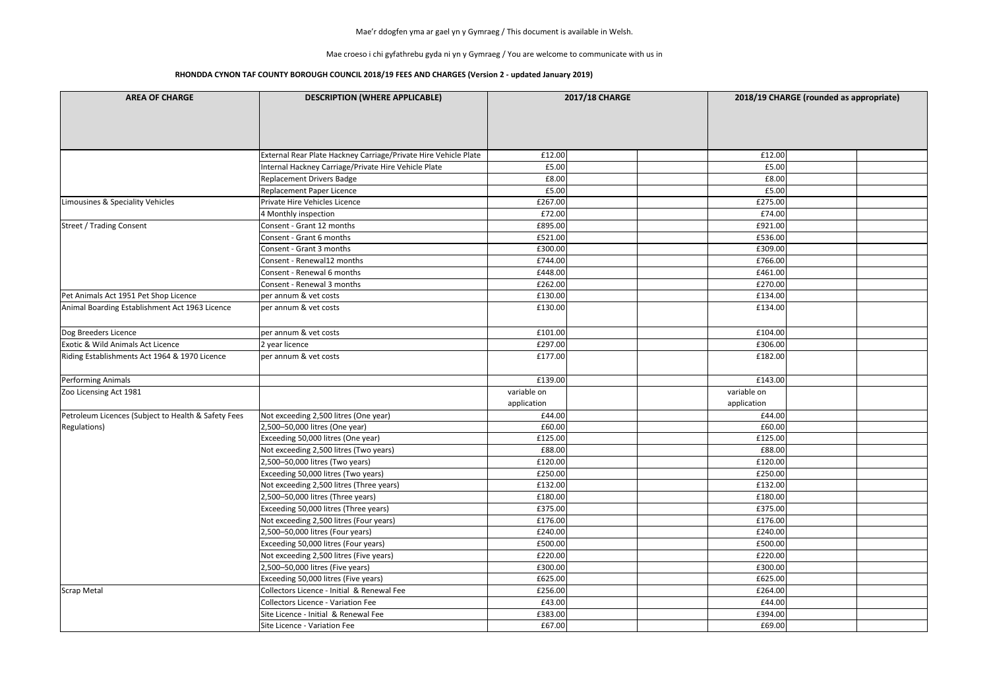Mae croeso i chi gyfathrebu gyda ni yn y Gymraeg / You are welcome to communicate with us in

| <b>AREA OF CHARGE</b>                               | <b>DESCRIPTION (WHERE APPLICABLE)</b>                           | <b>2017/18 CHARGE</b> |             | 2018/19 CHARGE (rounded as appropriate) |  |  |
|-----------------------------------------------------|-----------------------------------------------------------------|-----------------------|-------------|-----------------------------------------|--|--|
|                                                     |                                                                 |                       |             |                                         |  |  |
|                                                     |                                                                 |                       |             |                                         |  |  |
|                                                     |                                                                 |                       |             |                                         |  |  |
|                                                     | External Rear Plate Hackney Carriage/Private Hire Vehicle Plate | £12.00                | £12.00      |                                         |  |  |
|                                                     | Internal Hackney Carriage/Private Hire Vehicle Plate            | £5.00                 | £5.00       |                                         |  |  |
|                                                     | Replacement Drivers Badge                                       | £8.00                 | £8.00       |                                         |  |  |
|                                                     | Replacement Paper Licence                                       | £5.00                 | £5.00       |                                         |  |  |
| Limousines & Speciality Vehicles                    | Private Hire Vehicles Licence                                   | £267.00               | £275.00     |                                         |  |  |
|                                                     | 4 Monthly inspection                                            | £72.00                | £74.00      |                                         |  |  |
| <b>Street / Trading Consent</b>                     | Consent - Grant 12 months                                       | £895.00               | £921.00     |                                         |  |  |
|                                                     | Consent - Grant 6 months                                        | £521.00               | £536.00     |                                         |  |  |
|                                                     | Consent - Grant 3 months                                        | £300.00               | £309.00     |                                         |  |  |
|                                                     | Consent - Renewal12 months                                      | £744.00               | £766.00     |                                         |  |  |
|                                                     | Consent - Renewal 6 months                                      | £448.00               | £461.00     |                                         |  |  |
|                                                     | Consent - Renewal 3 months                                      | £262.00               | £270.00     |                                         |  |  |
| Pet Animals Act 1951 Pet Shop Licence               | per annum & vet costs                                           | £130.00               | £134.00     |                                         |  |  |
| Animal Boarding Establishment Act 1963 Licence      | per annum & vet costs                                           | £130.00               | £134.00     |                                         |  |  |
| Dog Breeders Licence                                | per annum & vet costs                                           | £101.00               | £104.00     |                                         |  |  |
| <b>Exotic &amp; Wild Animals Act Licence</b>        | 2 year licence                                                  | £297.00               | £306.00     |                                         |  |  |
| Riding Establishments Act 1964 & 1970 Licence       | per annum & vet costs                                           | £177.00               | £182.00     |                                         |  |  |
| <b>Performing Animals</b>                           |                                                                 | £139.00               | £143.00     |                                         |  |  |
| Zoo Licensing Act 1981                              |                                                                 | variable on           | variable on |                                         |  |  |
|                                                     |                                                                 | application           | application |                                         |  |  |
| Petroleum Licences (Subject to Health & Safety Fees | Not exceeding 2,500 litres (One year)                           | £44.00                | £44.00      |                                         |  |  |
| Regulations)                                        | 2,500-50,000 litres (One year)                                  | £60.00                | £60.00      |                                         |  |  |
|                                                     | Exceeding 50,000 litres (One year)                              | £125.00               | £125.00     |                                         |  |  |
|                                                     | Not exceeding 2,500 litres (Two years)                          | £88.00                | £88.00      |                                         |  |  |
|                                                     | 2,500-50,000 litres (Two years)                                 | £120.00               | £120.00     |                                         |  |  |
|                                                     | Exceeding 50,000 litres (Two years)                             | £250.00               | £250.00     |                                         |  |  |
|                                                     | Not exceeding 2,500 litres (Three years)                        | £132.00               | £132.00     |                                         |  |  |
|                                                     | 2,500-50,000 litres (Three years)                               | £180.00               | £180.00     |                                         |  |  |
|                                                     | Exceeding 50,000 litres (Three years)                           | £375.00               | £375.00     |                                         |  |  |
|                                                     | Not exceeding 2,500 litres (Four years)                         | £176.00               | £176.00     |                                         |  |  |
|                                                     | 2,500-50,000 litres (Four years)                                | £240.00               | £240.00     |                                         |  |  |
|                                                     | Exceeding 50,000 litres (Four years)                            | £500.00               | £500.00     |                                         |  |  |
|                                                     | Not exceeding 2,500 litres (Five years)                         | £220.00               | £220.00     |                                         |  |  |
|                                                     | 2,500-50,000 litres (Five years)                                | £300.00               | £300.00     |                                         |  |  |
|                                                     | Exceeding 50,000 litres (Five years)                            | £625.00               | £625.00     |                                         |  |  |
| Scrap Metal                                         | Collectors Licence - Initial & Renewal Fee                      | £256.00               | £264.00     |                                         |  |  |
|                                                     | Collectors Licence - Variation Fee                              | £43.00                | £44.00      |                                         |  |  |
|                                                     | Site Licence - Initial & Renewal Fee                            | £383.00               | £394.00     |                                         |  |  |
|                                                     | Site Licence - Variation Fee                                    | £67.00                | £69.00      |                                         |  |  |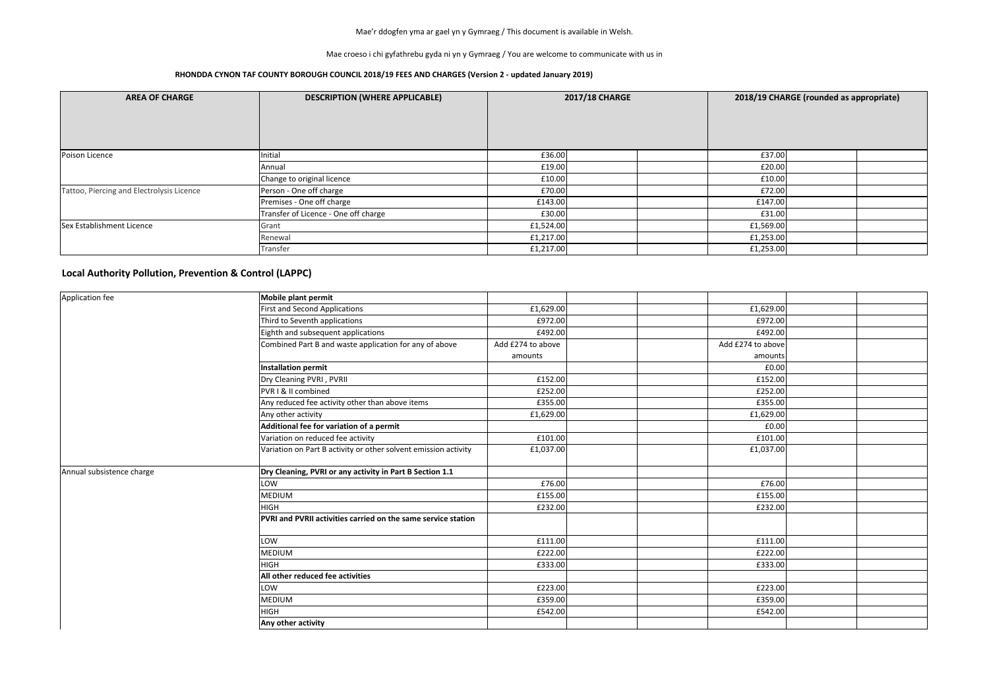Mae croeso i chi gyfathrebu gyda ni yn y Gymraeg / You are welcome to communicate with us in

#### **RHONDDA CYNON TAF COUNTY BOROUGH COUNCIL 2018/19 FEES AND CHARGES (Version 2 - updated January 2019)**

| <b>AREA OF CHARGE</b>                     | <b>DESCRIPTION (WHERE APPLICABLE)</b> | <b>2017/18 CHARGE</b> |  | 2018/19 CHARGE (rounded as appropriate) |           |  |  |
|-------------------------------------------|---------------------------------------|-----------------------|--|-----------------------------------------|-----------|--|--|
| Poison Licence                            | Initial                               | £36.00                |  |                                         | £37.00    |  |  |
|                                           | Annual                                | £19.00                |  |                                         | £20.00    |  |  |
|                                           | Change to original licence            | £10.00                |  |                                         | £10.00    |  |  |
| Tattoo, Piercing and Electrolysis Licence | Person - One off charge               | £70.00                |  |                                         | £72.00    |  |  |
|                                           | Premises - One off charge             | £143.00               |  |                                         | £147.00   |  |  |
|                                           | Transfer of Licence - One off charge  | £30.00                |  |                                         | £31.00    |  |  |
| Sex Establishment Licence                 | Grant                                 | £1,524.00             |  |                                         | £1,569.00 |  |  |
|                                           | Renewal                               | £1,217.00             |  |                                         | £1,253.00 |  |  |
|                                           | Transfer                              | £1,217.00             |  |                                         | £1,253.00 |  |  |

| Application fee           | <b>Mobile plant permit</b>                                      |                   |                   |  |
|---------------------------|-----------------------------------------------------------------|-------------------|-------------------|--|
|                           | <b>First and Second Applications</b>                            | £1,629.00         | £1,629.00         |  |
|                           | Third to Seventh applications                                   | £972.00           | £972.00           |  |
|                           | Eighth and subsequent applications                              | £492.00           | £492.00           |  |
|                           | Combined Part B and waste application for any of above          | Add £274 to above | Add £274 to above |  |
|                           |                                                                 | amounts           | amounts           |  |
|                           | <b>Installation permit</b>                                      |                   | £0.00             |  |
|                           | Dry Cleaning PVRI, PVRII                                        | £152.00           | £152.00           |  |
|                           | PVR I & II combined                                             | £252.00           | £252.00           |  |
|                           | Any reduced fee activity other than above items                 | £355.00           | £355.00           |  |
|                           | Any other activity                                              | £1,629.00         | £1,629.00         |  |
|                           | Additional fee for variation of a permit                        |                   | £0.00             |  |
|                           | Variation on reduced fee activity                               | £101.00           | £101.00           |  |
|                           | Variation on Part B activity or other solvent emission activity | £1,037.00         | £1,037.00         |  |
| Annual subsistence charge | Dry Cleaning, PVRI or any activity in Part B Section 1.1        |                   |                   |  |
|                           | LOW                                                             | £76.00            | £76.00            |  |
|                           | MEDIUM                                                          | £155.00           | £155.00           |  |
|                           | <b>HIGH</b>                                                     | £232.00           | £232.00           |  |
|                           | PVRI and PVRII activities carried on the same service station   |                   |                   |  |
|                           | LOW                                                             | £111.00           | £111.00           |  |
|                           | <b>MEDIUM</b>                                                   | £222.00           | £222.00           |  |
|                           | <b>HIGH</b>                                                     | £333.00           | £333.00           |  |
|                           | All other reduced fee activities                                |                   |                   |  |
|                           | LOW                                                             | £223.00           | £223.00           |  |
|                           | <b>MEDIUM</b>                                                   | £359.00           | £359.00           |  |
|                           | <b>HIGH</b>                                                     | £542.00           | £542.00           |  |
|                           | Any other activity                                              |                   |                   |  |

### **Local Authority Pollution, Prevention & Control (LAPPC)**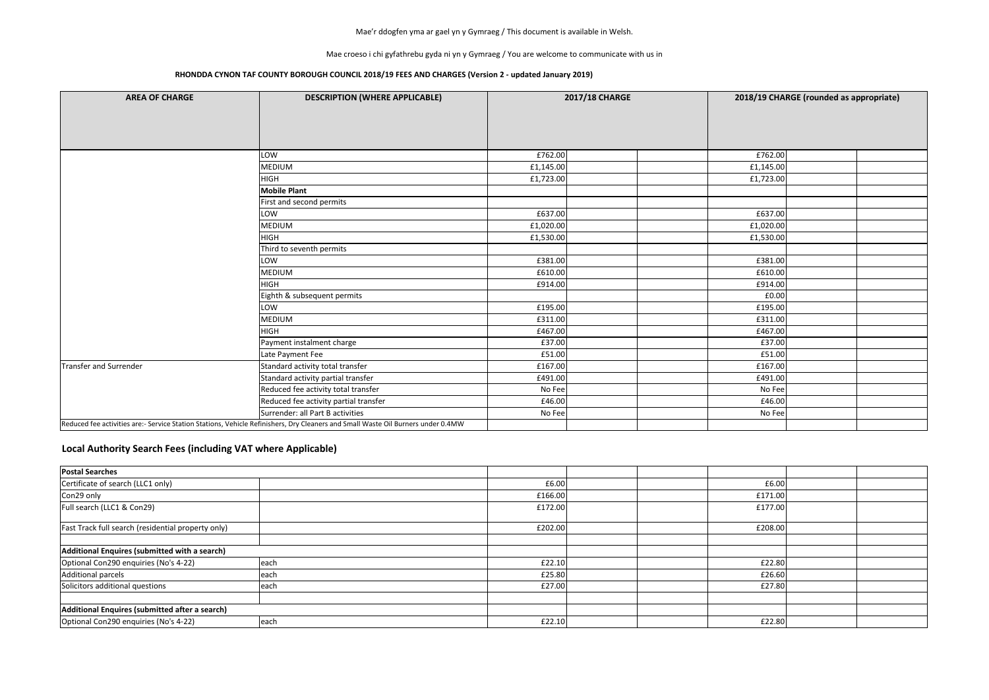Mae croeso i chi gyfathrebu gyda ni yn y Gymraeg / You are welcome to communicate with us in

### **RHONDDA CYNON TAF COUNTY BOROUGH COUNCIL 2018/19 FEES AND CHARGES (Version 2 - updated January 2019)**

| <b>AREA OF CHARGE</b>  | <b>DESCRIPTION (WHERE APPLICABLE)</b>                                                                                            |           | <b>2017/18 CHARGE</b> |           | 2018/19 CHARGE (rounded as appropriate) |  |
|------------------------|----------------------------------------------------------------------------------------------------------------------------------|-----------|-----------------------|-----------|-----------------------------------------|--|
|                        |                                                                                                                                  |           |                       |           |                                         |  |
|                        |                                                                                                                                  |           |                       |           |                                         |  |
|                        |                                                                                                                                  |           |                       |           |                                         |  |
|                        | LOW                                                                                                                              | £762.00   |                       | £762.00   |                                         |  |
|                        | <b>MEDIUM</b>                                                                                                                    | £1,145.00 |                       | £1,145.00 |                                         |  |
|                        | <b>HIGH</b>                                                                                                                      | £1,723.00 |                       | £1,723.00 |                                         |  |
|                        | <b>Mobile Plant</b>                                                                                                              |           |                       |           |                                         |  |
|                        | First and second permits                                                                                                         |           |                       |           |                                         |  |
|                        | LOW                                                                                                                              | £637.00   |                       | £637.00   |                                         |  |
|                        | <b>MEDIUM</b>                                                                                                                    | £1,020.00 |                       | £1,020.00 |                                         |  |
|                        | <b>HIGH</b>                                                                                                                      | £1,530.00 |                       | £1,530.00 |                                         |  |
|                        | Third to seventh permits                                                                                                         |           |                       |           |                                         |  |
|                        | LOW                                                                                                                              | £381.00   |                       | £381.00   |                                         |  |
|                        | <b>MEDIUM</b>                                                                                                                    | £610.00   |                       | £610.00   |                                         |  |
|                        | <b>HIGH</b>                                                                                                                      | £914.00   |                       | £914.00   |                                         |  |
|                        | Eighth & subsequent permits                                                                                                      |           |                       | £0.00     |                                         |  |
|                        | LOW                                                                                                                              | £195.00   |                       | £195.00   |                                         |  |
|                        | <b>MEDIUM</b>                                                                                                                    | £311.00   |                       | £311.00   |                                         |  |
|                        | <b>HIGH</b>                                                                                                                      | £467.00   |                       | £467.00   |                                         |  |
|                        | Payment instalment charge                                                                                                        | £37.00    |                       | £37.00    |                                         |  |
|                        | Late Payment Fee                                                                                                                 | £51.00    |                       | £51.00    |                                         |  |
| Transfer and Surrender | Standard activity total transfer                                                                                                 | £167.00   |                       | £167.00   |                                         |  |
|                        | Standard activity partial transfer                                                                                               | £491.00   |                       | £491.00   |                                         |  |
|                        | Reduced fee activity total transfer                                                                                              | No Fee    |                       | No Fee    |                                         |  |
|                        | Reduced fee activity partial transfer                                                                                            | £46.00    |                       | £46.00    |                                         |  |
|                        | Surrender: all Part B activities                                                                                                 | No Fee    |                       | No Fee    |                                         |  |
|                        | Reduced fee activities are:- Service Station Stations, Vehicle Refinishers, Dry Cleaners and Small Waste Oil Burners under 0.4MW |           |                       |           |                                         |  |

| <b>Postal Searches</b>                                    |               |         |  |         |  |
|-----------------------------------------------------------|---------------|---------|--|---------|--|
| Certificate of search (LLC1 only)                         |               | £6.00   |  | £6.00   |  |
| Con29 only                                                |               | £166.00 |  | £171.00 |  |
| Full search (LLC1 & Con29)                                |               | £172.00 |  | £177.00 |  |
| <b>Fast Track full search (residential property only)</b> |               | £202.00 |  | £208.00 |  |
|                                                           |               |         |  |         |  |
| Additional Enquires (submitted with a search)             |               |         |  |         |  |
| Optional Con290 enquiries (No's 4-22)                     | leach         | £22.10  |  | £22.80  |  |
| Additional parcels                                        | <b>l</b> each | £25.80  |  | £26.60  |  |
| Solicitors additional questions                           | <b>l</b> each | £27.00  |  | £27.80  |  |
|                                                           |               |         |  |         |  |
| Additional Enquires (submitted after a search)            |               |         |  |         |  |
| Optional Con290 enquiries (No's 4-22)                     | each          | £22.10  |  | £22.80  |  |

# **Local Authority Search Fees (including VAT where Applicable)**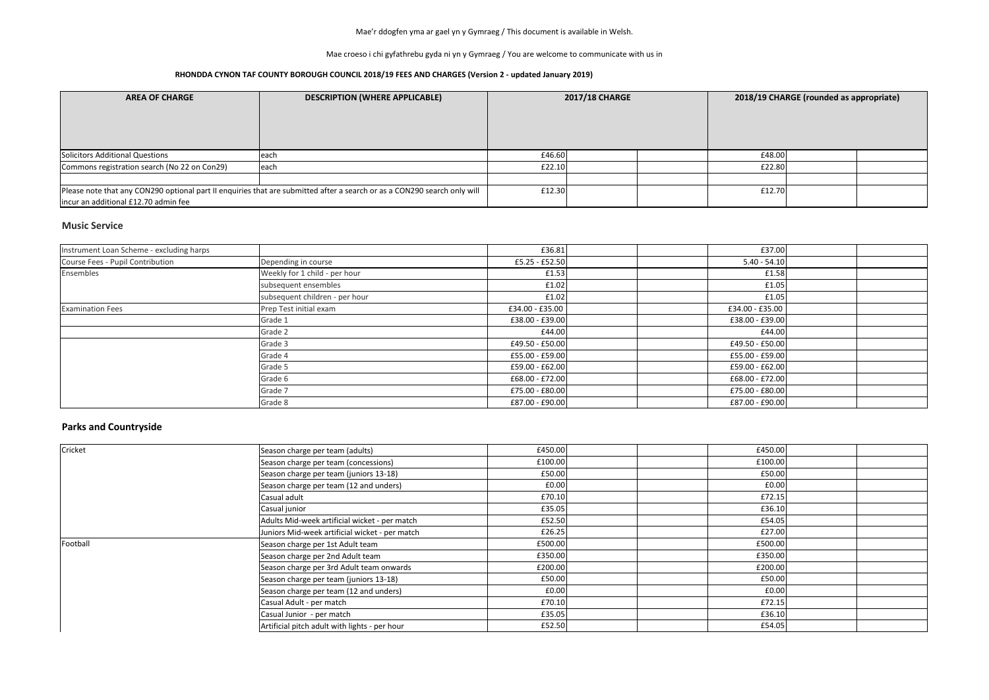Mae croeso i chi gyfathrebu gyda ni yn y Gymraeg / You are welcome to communicate with us in

### **RHONDDA CYNON TAF COUNTY BOROUGH COUNCIL 2018/19 FEES AND CHARGES (Version 2 - updated January 2019)**

#### **Music Service**

| <b>AREA OF CHARGE</b>                        | <b>DESCRIPTION (WHERE APPLICABLE)</b>                                                                                    | <b>2017/18 CHARGE</b> |  | 2018/19 CHARGE (rounded as appropriate) |        |  |  |
|----------------------------------------------|--------------------------------------------------------------------------------------------------------------------------|-----------------------|--|-----------------------------------------|--------|--|--|
| Solicitors Additional Questions              | leach                                                                                                                    | £46.60                |  |                                         | £48.00 |  |  |
| Commons registration search (No 22 on Con29) | leach                                                                                                                    | £22.10                |  |                                         | £22.80 |  |  |
|                                              |                                                                                                                          |                       |  |                                         |        |  |  |
| lincur an additional £12.70 admin fee        | Please note that any CON290 optional part II enquiries that are submitted after a search or as a CON290 search only will | £12.30                |  |                                         | £12.70 |  |  |

## **Parks and Countryside**

| Instrument Loan Scheme - excluding harps |                                | £36.81          | £37.00            |  |
|------------------------------------------|--------------------------------|-----------------|-------------------|--|
| Course Fees - Pupil Contribution         | Depending in course            | £5.25 - £52.50  | $5.40 - 54.10$    |  |
| Ensembles                                | Weekly for 1 child - per hour  | £1.53           | £1.58             |  |
|                                          | subsequent ensembles           | £1.02           | £1.05             |  |
|                                          | subsequent children - per hour | £1.02           | £1.05             |  |
| <b>Examination Fees</b>                  | Prep Test initial exam         | £34.00 - £35.00 | £34.00 - £35.00   |  |
|                                          | Grade 1                        | £38.00 - £39.00 | £38.00 - £39.00   |  |
|                                          | Grade 2                        | £44.00          | £44.00            |  |
|                                          | Grade 3                        | £49.50 - £50.00 | £49.50 - £50.00   |  |
|                                          | Grade 4                        | £55.00 - £59.00 | £55.00 - £59.00   |  |
|                                          | Grade 5                        | £59.00 - £62.00 | $£59.00 - £62.00$ |  |
|                                          | Grade 6                        | £68.00 - £72.00 | $£68.00 - £72.00$ |  |
|                                          | Grade 7                        | £75.00 - £80.00 | £75.00 - £80.00   |  |
|                                          | Grade 8                        | £87.00 - £90.00 | £87.00 - £90.00   |  |

| Cricket  | Season charge per team (adults)                | £450.00 |  | £450.00 |  |
|----------|------------------------------------------------|---------|--|---------|--|
|          | Season charge per team (concessions)           | £100.00 |  | £100.00 |  |
|          | Season charge per team (juniors 13-18)         | £50.00  |  | £50.00  |  |
|          | Season charge per team (12 and unders)         | £0.00   |  | £0.00   |  |
|          | Casual adult                                   | £70.10  |  | £72.15  |  |
|          | Casual junior                                  | £35.05  |  | £36.10  |  |
|          | Adults Mid-week artificial wicket - per match  | £52.50  |  | £54.05  |  |
|          | Juniors Mid-week artificial wicket - per match | £26.25  |  | £27.00  |  |
| Football | Season charge per 1st Adult team               | £500.00 |  | £500.00 |  |
|          | Season charge per 2nd Adult team               | £350.00 |  | £350.00 |  |
|          | Season charge per 3rd Adult team onwards       | £200.00 |  | £200.00 |  |
|          | Season charge per team (juniors 13-18)         | £50.00  |  | £50.00  |  |
|          | Season charge per team (12 and unders)         | £0.00   |  | £0.00   |  |
|          | Casual Adult - per match                       | £70.10  |  | £72.15  |  |
|          | Casual Junior - per match                      | £35.05  |  | £36.10  |  |
|          | Artificial pitch adult with lights - per hour  | £52.50  |  | £54.05  |  |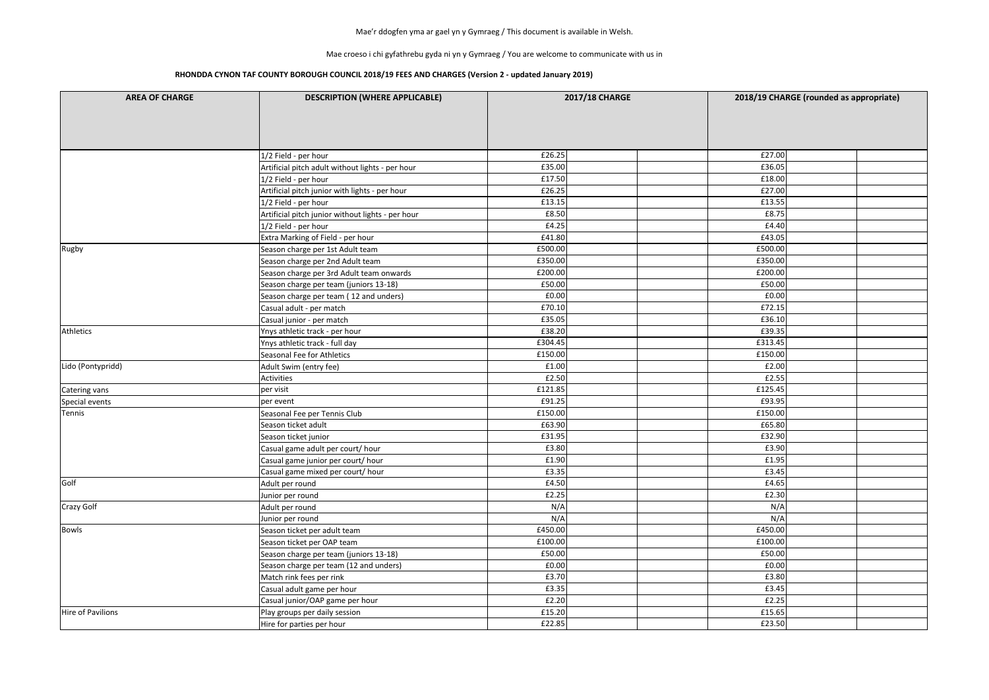Mae croeso i chi gyfathrebu gyda ni yn y Gymraeg / You are welcome to communicate with us in

| <b>AREA OF CHARGE</b> | <b>DESCRIPTION (WHERE APPLICABLE)</b>             | <b>2017/18 CHARGE</b> |         | 2018/19 CHARGE (rounded as appropriate) |
|-----------------------|---------------------------------------------------|-----------------------|---------|-----------------------------------------|
|                       |                                                   |                       |         |                                         |
|                       | 1/2 Field - per hour                              | £26.25                | £27.00  |                                         |
|                       | Artificial pitch adult without lights - per hour  | £35.00                | £36.05  |                                         |
|                       | 1/2 Field - per hour                              | £17.50                | £18.00  |                                         |
|                       | Artificial pitch junior with lights - per hour    | £26.25                | £27.00  |                                         |
|                       | 1/2 Field - per hour                              | £13.15                | £13.55  |                                         |
|                       | Artificial pitch junior without lights - per hour | £8.50                 | £8.75   |                                         |
|                       | 1/2 Field - per hour                              | £4.25                 | £4.40   |                                         |
|                       | Extra Marking of Field - per hour                 | £41.80                | £43.05  |                                         |
| Rugby                 | Season charge per 1st Adult team                  | £500.00               | £500.00 |                                         |
|                       | Season charge per 2nd Adult team                  | £350.00               | £350.00 |                                         |
|                       | Season charge per 3rd Adult team onwards          | £200.00               | £200.00 |                                         |
|                       | Season charge per team (juniors 13-18)            | £50.00                | £50.00  |                                         |
|                       | Season charge per team (12 and unders)            | £0.00                 | £0.00   |                                         |
|                       | Casual adult - per match                          | £70.10                | £72.15  |                                         |
|                       | Casual junior - per match                         | £35.05                | £36.10  |                                         |
| Athletics             | Ynys athletic track - per hour                    | £38.20                | £39.35  |                                         |
|                       | Ynys athletic track - full day                    | £304.45               | £313.45 |                                         |
|                       | Seasonal Fee for Athletics                        | £150.00               | £150.00 |                                         |
| Lido (Pontypridd)     | Adult Swim (entry fee)                            | £1.00                 | £2.00   |                                         |
|                       | Activities                                        | £2.50                 | £2.55   |                                         |
| Catering vans         | per visit                                         | £121.85               | £125.45 |                                         |
| Special events        | per event                                         | £91.25                | £93.95  |                                         |
| Tennis                | Seasonal Fee per Tennis Club                      | £150.00               | £150.00 |                                         |
|                       | Season ticket adult                               | £63.90                | £65.80  |                                         |
|                       | Season ticket junior                              | £31.95                | £32.90  |                                         |
|                       | Casual game adult per court/ hour                 | £3.80                 | £3.90   |                                         |
|                       | Casual game junior per court/ hour                | £1.90                 | £1.95   |                                         |
|                       | Casual game mixed per court/ hour                 | £3.35                 | £3.45   |                                         |
| Golf                  | Adult per round                                   | £4.50                 | £4.65   |                                         |
|                       | Junior per round                                  | £2.25                 | £2.30   |                                         |
| <b>Crazy Golf</b>     | Adult per round                                   | N/A                   | N/A     |                                         |
|                       | Junior per round                                  | N/A                   | N/A     |                                         |
| <b>Bowls</b>          | Season ticket per adult team                      | £450.00               | £450.00 |                                         |
|                       | Season ticket per OAP team                        | £100.00               | £100.00 |                                         |
|                       | Season charge per team (juniors 13-18)            | £50.00                | £50.00  |                                         |
|                       | Season charge per team (12 and unders)            | £0.00                 | £0.00   |                                         |
|                       | Match rink fees per rink                          | £3.70                 | £3.80   |                                         |
|                       | Casual adult game per hour                        | £3.35                 | £3.45   |                                         |
|                       | Casual junior/OAP game per hour                   | £2.20                 | £2.25   |                                         |
| Hire of Pavilions     | Play groups per daily session                     | £15.20                | £15.65  |                                         |
|                       | Hire for parties per hour                         | £22.85                | £23.50  |                                         |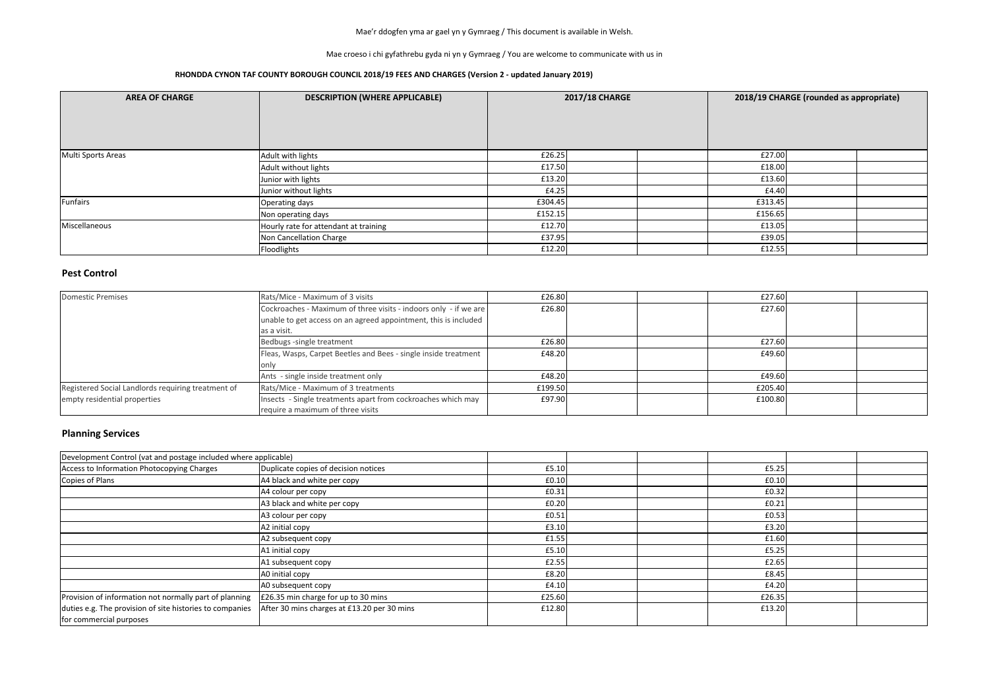Mae croeso i chi gyfathrebu gyda ni yn y Gymraeg / You are welcome to communicate with us in

#### **RHONDDA CYNON TAF COUNTY BOROUGH COUNCIL 2018/19 FEES AND CHARGES (Version 2 - updated January 2019)**

#### **Pest Control**

| <b>AREA OF CHARGE</b> | <b>DESCRIPTION (WHERE APPLICABLE)</b> | <b>2017/18 CHARGE</b> |  | 2018/19 CHARGE (rounded as appropriate) |         |  |  |
|-----------------------|---------------------------------------|-----------------------|--|-----------------------------------------|---------|--|--|
| Multi Sports Areas    | Adult with lights                     | £26.25                |  |                                         | £27.00  |  |  |
|                       | Adult without lights                  | £17.50                |  |                                         | £18.00  |  |  |
|                       | Junior with lights                    | £13.20                |  |                                         | £13.60  |  |  |
|                       | Junior without lights                 | £4.25                 |  |                                         | £4.40   |  |  |
| Funfairs              | Operating days                        | £304.45               |  |                                         | £313.45 |  |  |
|                       | Non operating days                    | £152.15               |  |                                         | £156.65 |  |  |
| Miscellaneous         | Hourly rate for attendant at training | £12.70                |  |                                         | £13.05  |  |  |
|                       | Non Cancellation Charge               | £37.95                |  |                                         | £39.05  |  |  |
|                       | Floodlights                           | £12.20                |  |                                         | £12.55  |  |  |

## **Planning Services**

| <b>Domestic Premises</b>                           | Rats/Mice - Maximum of 3 visits                                  | £26.80  | £27.60  |  |
|----------------------------------------------------|------------------------------------------------------------------|---------|---------|--|
|                                                    | Cockroaches - Maximum of three visits - indoors only - if we are | £26.80  | £27.60  |  |
|                                                    | unable to get access on an agreed appointment, this is included  |         |         |  |
|                                                    | as a visit.                                                      |         |         |  |
|                                                    | Bedbugs -single treatment                                        | £26.80  | £27.60  |  |
|                                                    | Fleas, Wasps, Carpet Beetles and Bees - single inside treatment  | £48.20  | £49.60  |  |
|                                                    |                                                                  |         |         |  |
|                                                    | Ants - single inside treatment only                              | £48.20  | £49.60  |  |
| Registered Social Landlords requiring treatment of | Rats/Mice - Maximum of 3 treatments                              | £199.50 | £205.40 |  |
| empty residential properties                       | Insects - Single treatments apart from cockroaches which may     | £97.90  | £100.80 |  |
|                                                    | require a maximum of three visits                                |         |         |  |

| Development Control (vat and postage included where applicable) |                                             |        |  |        |  |
|-----------------------------------------------------------------|---------------------------------------------|--------|--|--------|--|
| Access to Information Photocopying Charges                      | Duplicate copies of decision notices        | £5.10  |  | £5.25  |  |
| Copies of Plans                                                 | A4 black and white per copy                 | £0.10  |  | £0.10  |  |
|                                                                 | A4 colour per copy                          | £0.31  |  | £0.32  |  |
|                                                                 | A3 black and white per copy                 | £0.20  |  | £0.21  |  |
|                                                                 | A3 colour per copy                          | £0.51  |  | £0.53  |  |
|                                                                 | A2 initial copy                             | £3.10  |  | £3.20  |  |
|                                                                 | A2 subsequent copy                          | £1.55  |  | £1.60  |  |
|                                                                 | A1 initial copy                             | £5.10  |  | £5.25  |  |
|                                                                 | A1 subsequent copy                          | £2.55  |  | £2.65  |  |
|                                                                 | A0 initial copy                             | £8.20  |  | £8.45  |  |
|                                                                 | A0 subsequent copy                          | £4.10  |  | £4.20  |  |
| Provision of information not normally part of planning          | £26.35 min charge for up to 30 mins         | £25.60 |  | £26.35 |  |
| duties e.g. The provision of site histories to companies        | After 30 mins charges at £13.20 per 30 mins | £12.80 |  | £13.20 |  |
| for commercial purposes                                         |                                             |        |  |        |  |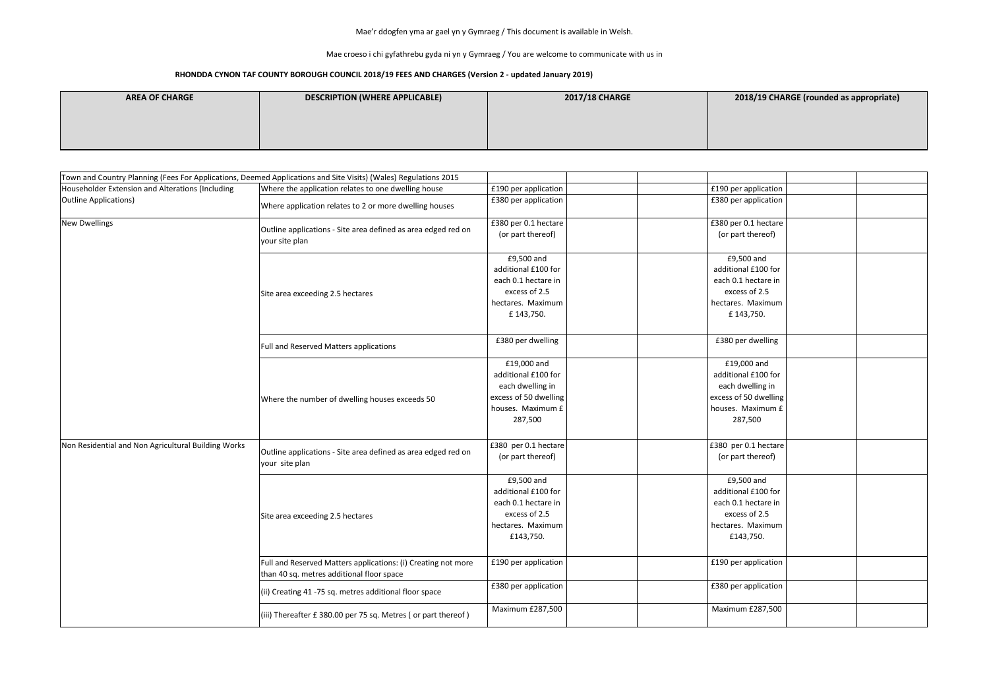Mae croeso i chi gyfathrebu gyda ni yn y Gymraeg / You are welcome to communicate with us in

### **RHONDDA CYNON TAF COUNTY BOROUGH COUNCIL 2018/19 FEES AND CHARGES (Version 2 - updated January 2019)**

| <b>AREA OF CHARGE</b> | DESCRIPTION (WHERE APPLICABLE) | <b>2017/18 CHARGE</b> |
|-----------------------|--------------------------------|-----------------------|
|                       |                                |                       |
|                       |                                |                       |
|                       |                                |                       |

|                                                     | Town and Country Planning (Fees For Applications, Deemed Applications and Site Visits) (Wales) Regulations 2015 |                                                                                                                 |                                                                                                                 |  |
|-----------------------------------------------------|-----------------------------------------------------------------------------------------------------------------|-----------------------------------------------------------------------------------------------------------------|-----------------------------------------------------------------------------------------------------------------|--|
| Householder Extension and Alterations (Including    | Where the application relates to one dwelling house                                                             | £190 per application                                                                                            | £190 per application                                                                                            |  |
| <b>Outline Applications)</b>                        | Where application relates to 2 or more dwelling houses                                                          | £380 per application                                                                                            | £380 per application                                                                                            |  |
| <b>New Dwellings</b>                                | Outline applications - Site area defined as area edged red on<br>your site plan                                 | £380 per 0.1 hectare<br>(or part thereof)                                                                       | £380 per 0.1 hectare<br>(or part thereof)                                                                       |  |
|                                                     | Site area exceeding 2.5 hectares                                                                                | £9,500 and<br>additional £100 for<br>each 0.1 hectare in<br>excess of 2.5<br>hectares. Maximum<br>£ 143,750.    | £9,500 and<br>additional £100 for<br>each 0.1 hectare in<br>excess of 2.5<br>hectares. Maximum<br>£ 143,750.    |  |
|                                                     | Full and Reserved Matters applications                                                                          | £380 per dwelling                                                                                               | £380 per dwelling                                                                                               |  |
|                                                     | Where the number of dwelling houses exceeds 50                                                                  | £19,000 and<br>additional £100 for<br>each dwelling in<br>excess of 50 dwelling<br>houses. Maximum £<br>287,500 | £19,000 and<br>additional £100 for<br>each dwelling in<br>excess of 50 dwelling<br>houses. Maximum £<br>287,500 |  |
| Non Residential and Non Agricultural Building Works | Outline applications - Site area defined as area edged red on<br>your site plan                                 | £380 per 0.1 hectare<br>(or part thereof)                                                                       | £380 per 0.1 hectare<br>(or part thereof)                                                                       |  |
|                                                     | Site area exceeding 2.5 hectares                                                                                | £9,500 and<br>additional £100 for<br>each 0.1 hectare in<br>excess of 2.5<br>hectares. Maximum<br>£143,750.     | £9,500 and<br>additional £100 for<br>each 0.1 hectare in<br>excess of 2.5<br>hectares. Maximum<br>£143,750.     |  |
|                                                     | Full and Reserved Matters applications: (i) Creating not more<br>than 40 sq. metres additional floor space      | £190 per application                                                                                            | £190 per application                                                                                            |  |
|                                                     | (ii) Creating 41 -75 sq. metres additional floor space                                                          | £380 per application                                                                                            | £380 per application                                                                                            |  |
|                                                     | (iii) Thereafter $E$ 380.00 per 75 sq. Metres (or part thereof)                                                 | Maximum £287,500                                                                                                | Maximum £287,500                                                                                                |  |

### **ABILITY CHARGE (rounded as appropriate)**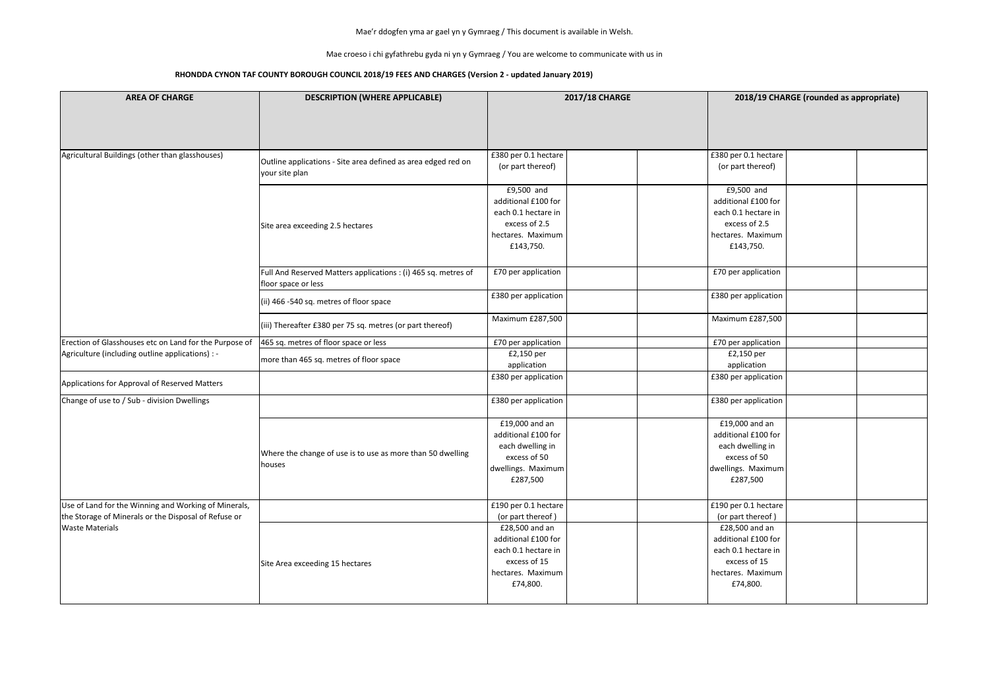Mae croeso i chi gyfathrebu gyda ni yn y Gymraeg / You are welcome to communicate with us in

| <b>AREA OF CHARGE</b>                                                                                        | <b>DESCRIPTION (WHERE APPLICABLE)</b>                                                 | <b>2017/18 CHARGE</b>                                                                                         |                                                                                                               | 2018/19 CHARGE (rounded as appropriate) |  |  |
|--------------------------------------------------------------------------------------------------------------|---------------------------------------------------------------------------------------|---------------------------------------------------------------------------------------------------------------|---------------------------------------------------------------------------------------------------------------|-----------------------------------------|--|--|
| Agricultural Buildings (other than glasshouses)                                                              |                                                                                       | £380 per 0.1 hectare                                                                                          | £380 per 0.1 hectare                                                                                          |                                         |  |  |
|                                                                                                              | Outline applications - Site area defined as area edged red on<br>your site plan       | (or part thereof)                                                                                             | (or part thereof)                                                                                             |                                         |  |  |
|                                                                                                              | Site area exceeding 2.5 hectares                                                      | £9,500 and<br>additional £100 for<br>each 0.1 hectare in<br>excess of 2.5<br>hectares. Maximum<br>£143,750.   | £9,500 and<br>additional £100 for<br>each 0.1 hectare in<br>excess of 2.5<br>hectares. Maximum<br>£143,750.   |                                         |  |  |
|                                                                                                              | Full And Reserved Matters applications : (i) 465 sq. metres of<br>floor space or less | £70 per application                                                                                           | £70 per application                                                                                           |                                         |  |  |
|                                                                                                              | (ii) 466 -540 sq. metres of floor space                                               | £380 per application                                                                                          | £380 per application                                                                                          |                                         |  |  |
|                                                                                                              | (iii) Thereafter £380 per 75 sq. metres (or part thereof)                             | Maximum £287,500                                                                                              | Maximum £287,500                                                                                              |                                         |  |  |
| Erection of Glasshouses etc on Land for the Purpose of                                                       | 465 sq. metres of floor space or less                                                 | £70 per application                                                                                           | £70 per application                                                                                           |                                         |  |  |
| Agriculture (including outline applications) : -                                                             | more than 465 sq. metres of floor space                                               | £2,150 per<br>application                                                                                     | £2,150 per<br>application                                                                                     |                                         |  |  |
| Applications for Approval of Reserved Matters                                                                |                                                                                       | £380 per application                                                                                          | £380 per application                                                                                          |                                         |  |  |
| Change of use to / Sub - division Dwellings                                                                  |                                                                                       | £380 per application                                                                                          | £380 per application                                                                                          |                                         |  |  |
|                                                                                                              | Where the change of use is to use as more than 50 dwelling<br>houses                  | £19,000 and an<br>additional £100 for<br>each dwelling in<br>excess of 50<br>dwellings. Maximum<br>£287,500   | £19,000 and an<br>additional £100 for<br>each dwelling in<br>excess of 50<br>dwellings. Maximum<br>£287,500   |                                         |  |  |
| Use of Land for the Winning and Working of Minerals,<br>the Storage of Minerals or the Disposal of Refuse or |                                                                                       | £190 per 0.1 hectare<br>(or part thereof)                                                                     | £190 per 0.1 hectare<br>(or part thereof)                                                                     |                                         |  |  |
| <b>Waste Materials</b>                                                                                       | Site Area exceeding 15 hectares                                                       | £28,500 and an<br>additional £100 for<br>each 0.1 hectare in<br>excess of 15<br>hectares. Maximum<br>£74,800. | £28,500 and an<br>additional £100 for<br>each 0.1 hectare in<br>excess of 15<br>hectares. Maximum<br>£74,800. |                                         |  |  |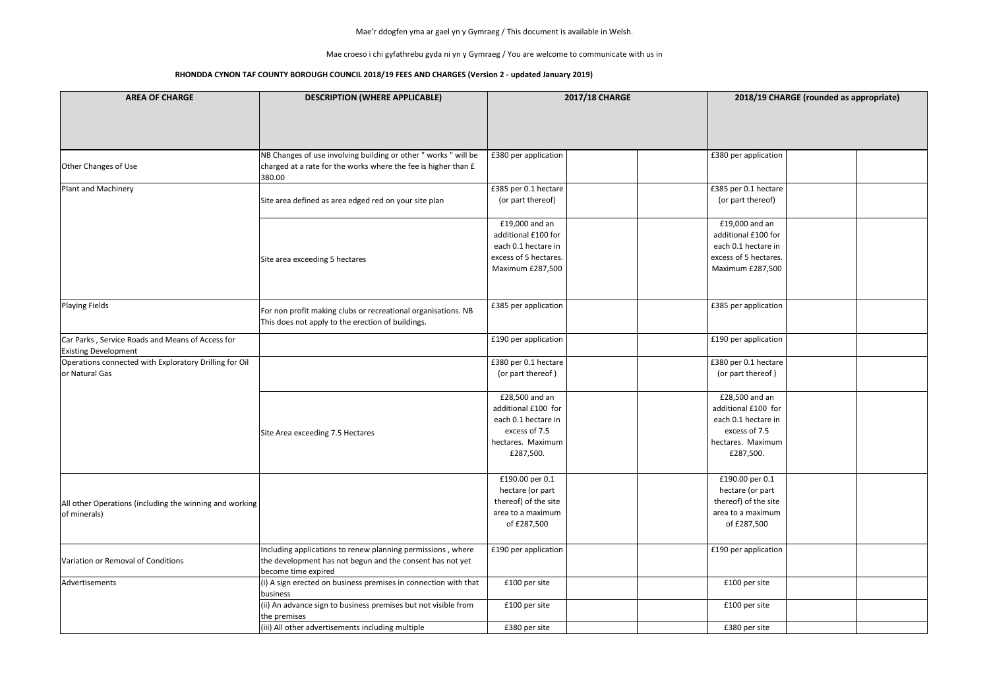Mae croeso i chi gyfathrebu gyda ni yn y Gymraeg / You are welcome to communicate with us in

| <b>AREA OF CHARGE</b>                                                           | <b>DESCRIPTION (WHERE APPLICABLE)</b>                                                                              | <b>2017/18 CHARGE</b>   |                         | 2018/19 CHARGE (rounded as appropriate) |  |  |
|---------------------------------------------------------------------------------|--------------------------------------------------------------------------------------------------------------------|-------------------------|-------------------------|-----------------------------------------|--|--|
|                                                                                 |                                                                                                                    |                         |                         |                                         |  |  |
|                                                                                 | NB Changes of use involving building or other " works " will be                                                    | £380 per application    | £380 per application    |                                         |  |  |
| Other Changes of Use                                                            | charged at a rate for the works where the fee is higher than £<br>380.00                                           |                         |                         |                                         |  |  |
| Plant and Machinery                                                             |                                                                                                                    | £385 per 0.1 hectare    | £385 per 0.1 hectare    |                                         |  |  |
|                                                                                 | Site area defined as area edged red on your site plan                                                              | (or part thereof)       | (or part thereof)       |                                         |  |  |
|                                                                                 |                                                                                                                    | £19,000 and an          | £19,000 and an          |                                         |  |  |
|                                                                                 |                                                                                                                    | additional £100 for     | additional £100 for     |                                         |  |  |
|                                                                                 |                                                                                                                    | each 0.1 hectare in     | each 0.1 hectare in     |                                         |  |  |
|                                                                                 | Site area exceeding 5 hectares                                                                                     | excess of 5 hectares.   | excess of 5 hectares.   |                                         |  |  |
|                                                                                 |                                                                                                                    | <b>Maximum £287,500</b> | <b>Maximum £287,500</b> |                                         |  |  |
| <b>Playing Fields</b>                                                           |                                                                                                                    | £385 per application    | £385 per application    |                                         |  |  |
|                                                                                 | For non profit making clubs or recreational organisations. NB<br>This does not apply to the erection of buildings. |                         |                         |                                         |  |  |
| Car Parks, Service Roads and Means of Access for<br><b>Existing Development</b> |                                                                                                                    | £190 per application    | £190 per application    |                                         |  |  |
| Operations connected with Exploratory Drilling for Oil                          |                                                                                                                    | £380 per 0.1 hectare    | £380 per 0.1 hectare    |                                         |  |  |
| or Natural Gas                                                                  |                                                                                                                    | (or part thereof)       | (or part thereof)       |                                         |  |  |
|                                                                                 |                                                                                                                    | £28,500 and an          | £28,500 and an          |                                         |  |  |
|                                                                                 |                                                                                                                    | additional £100 for     | additional £100 for     |                                         |  |  |
|                                                                                 |                                                                                                                    | each 0.1 hectare in     | each 0.1 hectare in     |                                         |  |  |
|                                                                                 | Site Area exceeding 7.5 Hectares                                                                                   | excess of 7.5           | excess of 7.5           |                                         |  |  |
|                                                                                 |                                                                                                                    | hectares. Maximum       | hectares. Maximum       |                                         |  |  |
|                                                                                 |                                                                                                                    | £287,500.               | £287,500.               |                                         |  |  |
|                                                                                 |                                                                                                                    | £190.00 per 0.1         | £190.00 per 0.1         |                                         |  |  |
|                                                                                 |                                                                                                                    | hectare (or part        | hectare (or part        |                                         |  |  |
| All other Operations (including the winning and working                         |                                                                                                                    | thereof) of the site    | thereof) of the site    |                                         |  |  |
| of minerals)                                                                    |                                                                                                                    | area to a maximum       | area to a maximum       |                                         |  |  |
|                                                                                 |                                                                                                                    | of £287,500             | of £287,500             |                                         |  |  |
|                                                                                 | Including applications to renew planning permissions, where                                                        | £190 per application    | £190 per application    |                                         |  |  |
| Variation or Removal of Conditions                                              | the development has not begun and the consent has not yet                                                          |                         |                         |                                         |  |  |
|                                                                                 | become time expired                                                                                                |                         |                         |                                         |  |  |
| Advertisements                                                                  | (i) A sign erected on business premises in connection with that                                                    | £100 per site           | £100 per site           |                                         |  |  |
|                                                                                 | business                                                                                                           |                         |                         |                                         |  |  |
|                                                                                 | (ii) An advance sign to business premises but not visible from                                                     | £100 per site           | £100 per site           |                                         |  |  |
|                                                                                 | the premises<br>(iii) All other advertisements including multiple                                                  | £380 per site           | £380 per site           |                                         |  |  |
|                                                                                 |                                                                                                                    |                         |                         |                                         |  |  |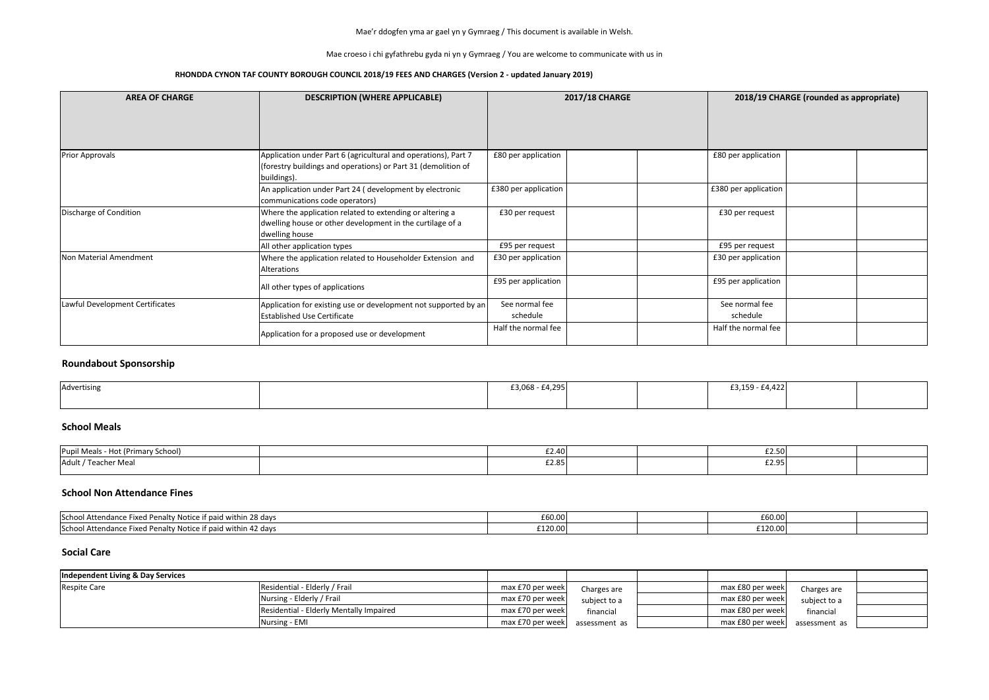Mae croeso i chi gyfathrebu gyda ni yn y Gymraeg / You are welcome to communicate with us in

#### **RHONDDA CYNON TAF COUNTY BOROUGH COUNCIL 2018/19 FEES AND CHARGES (Version 2 - updated January 2019)**

| <b>AREA OF CHARGE</b>           | <b>DESCRIPTION (WHERE APPLICABLE)</b>                                                                                                          | <b>2017/18 CHARGE</b>      |  | 2018/19 CHARGE (rounded as appropriate) |  |  |
|---------------------------------|------------------------------------------------------------------------------------------------------------------------------------------------|----------------------------|--|-----------------------------------------|--|--|
| <b>Prior Approvals</b>          | Application under Part 6 (agricultural and operations), Part 7<br>(forestry buildings and operations) or Part 31 (demolition of<br>buildings). | £80 per application        |  | £80 per application                     |  |  |
|                                 | An application under Part 24 (development by electronic<br>communications code operators)                                                      | £380 per application       |  | £380 per application                    |  |  |
| Discharge of Condition          | Where the application related to extending or altering a<br>dwelling house or other development in the curtilage of a<br>dwelling house        | £30 per request            |  | £30 per request                         |  |  |
|                                 | All other application types                                                                                                                    | £95 per request            |  | £95 per request                         |  |  |
| Non Material Amendment          | Where the application related to Householder Extension and<br>Alterations                                                                      | £30 per application        |  | £30 per application                     |  |  |
|                                 | All other types of applications                                                                                                                | £95 per application        |  | £95 per application                     |  |  |
| Lawful Development Certificates | Application for existing use or development not supported by an<br><b>Established Use Certificate</b>                                          | See normal fee<br>schedule |  | See normal fee<br>schedule              |  |  |
|                                 | Application for a proposed use or development                                                                                                  | Half the normal fee        |  | Half the normal fee                     |  |  |

## **Roundabout Sponsorship**

| Advertising | £3,068 - £4,295 |  | $£3,159 - £4,422$ |  |
|-------------|-----------------|--|-------------------|--|
|             |                 |  |                   |  |

## **School Meals**

| __<br>Pupil Meals - Hot (Primar<br>ırv School) | £2.40                      |  | £2.50 |  |
|------------------------------------------------|----------------------------|--|-------|--|
| Adult / Teach<br>Teacher Meal                  | $\sim$ $\sim$<br>ا (2.05 ـ |  | £2.95 |  |

### **School Non Attendance Fines**

#### **Social Care**

| School Attenda<br>Penalty Notice<br>l within 28 davs<br>. Fixed P<br>-paic<br>audille :             | £60.00  | £60.00                  |  |
|-----------------------------------------------------------------------------------------------------|---------|-------------------------|--|
| $\sim$<br>School Atte<br><b>Penalty Notice</b><br>, paid within 42 days .<br>e Fixed I<br>.ndance ' | £120.00 | 2120.001<br>L J ZU.UU I |  |

| Independent Living & Day Services |                                         |                  |               |                  |               |  |
|-----------------------------------|-----------------------------------------|------------------|---------------|------------------|---------------|--|
| <b>Respite Care</b>               | Residential - Elderly / Frail           | max £70 per week | Charges are   | max £80 per week | Charges are   |  |
|                                   | Nursing - Elderly / Frail               | max £70 per week | subject to a  | max £80 per week | subject to a  |  |
|                                   | Residential - Elderly Mentally Impaired | max £70 per week | financial     | max £80 per week | financial     |  |
|                                   | Nursing - EMI                           | max £70 per week | assessment as | max £80 per week | assessment as |  |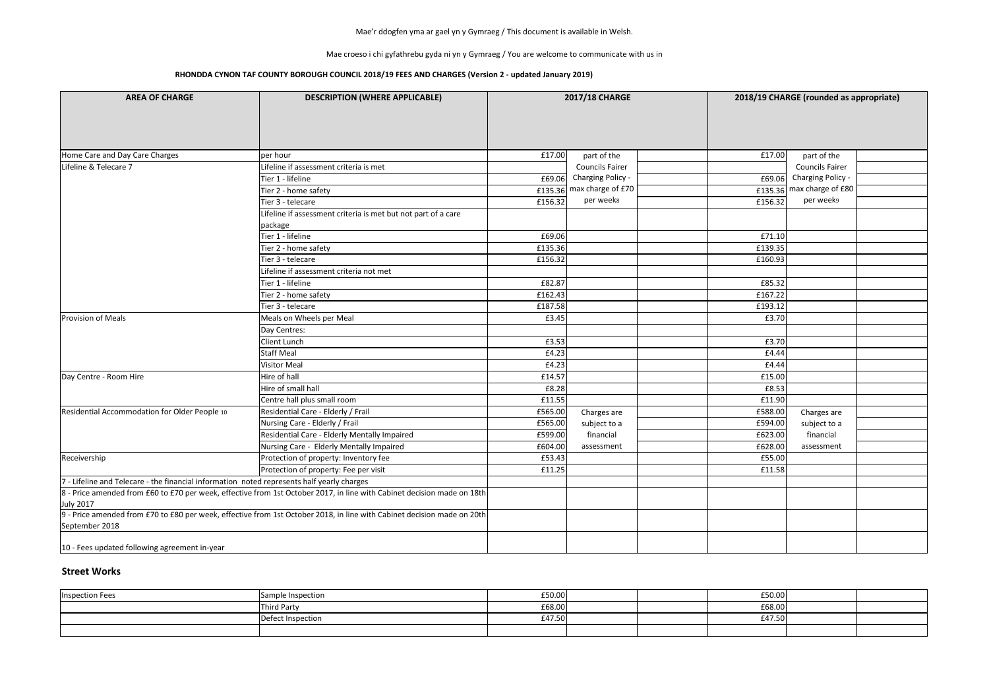Mae croeso i chi gyfathrebu gyda ni yn y Gymraeg / You are welcome to communicate with us in

#### **RHONDDA CYNON TAF COUNTY BOROUGH COUNCIL 2018/19 FEES AND CHARGES (Version 2 - updated January 2019)**

|         | 2018/19 CHARGE (rounded as appropriate) |  |
|---------|-----------------------------------------|--|
| £17.00  | part of the                             |  |
|         | <b>Councils Fairer</b>                  |  |
| £69.06  | Charging Policy -                       |  |
| £135.36 | max charge of £80                       |  |
| £156.32 | per week9                               |  |
|         |                                         |  |
| £71.10  |                                         |  |
| £139.35 |                                         |  |
| £160.93 |                                         |  |
|         |                                         |  |
| £85.32  |                                         |  |
| £167.22 |                                         |  |
| £193.12 |                                         |  |
| £3.70   |                                         |  |
|         |                                         |  |
| £3.70   |                                         |  |
| £4.44   |                                         |  |
| £4.44   |                                         |  |
| £15.00  |                                         |  |
| £8.53   |                                         |  |
| £11.90  |                                         |  |
| £588.00 | Charges are                             |  |
| £594.00 | subject to a                            |  |
| £623.00 | financial                               |  |
| £628.00 | assessment                              |  |
| £55.00  |                                         |  |
| £11.58  |                                         |  |
|         |                                         |  |
|         |                                         |  |
|         |                                         |  |
|         |                                         |  |

| <b>AREA OF CHARGE</b>                                                                      | <b>DESCRIPTION (WHERE APPLICABLE)</b>                                                                                   | <b>2017/18 CHARGE</b> |                           |         | 2018/19 CHARGE (rounded as appropriate) |  |  |
|--------------------------------------------------------------------------------------------|-------------------------------------------------------------------------------------------------------------------------|-----------------------|---------------------------|---------|-----------------------------------------|--|--|
|                                                                                            |                                                                                                                         |                       |                           |         |                                         |  |  |
| Home Care and Day Care Charges                                                             | per hour                                                                                                                | £17.00                | part of the               | £17.00  | part of the                             |  |  |
| Lifeline & Telecare 7                                                                      | ifeline if assessment criteria is met                                                                                   |                       | <b>Councils Fairer</b>    |         | <b>Councils Fairer</b>                  |  |  |
|                                                                                            | Tier 1 - lifeline                                                                                                       | £69.06                | Charging Policy -         | £69.06  | Charging Policy -                       |  |  |
|                                                                                            | Tier 2 - home safety                                                                                                    |                       | £135.36 max charge of £70 |         | £135.36 max charge of £80               |  |  |
|                                                                                            | Tier 3 - telecare                                                                                                       | £156.32               | per weeks                 | £156.32 | per week9                               |  |  |
|                                                                                            | Lifeline if assessment criteria is met but not part of a care<br>package                                                |                       |                           |         |                                         |  |  |
|                                                                                            | Tier 1 - lifeline                                                                                                       | £69.06                |                           | £71.10  |                                         |  |  |
|                                                                                            | Tier 2 - home safety                                                                                                    | £135.36               |                           | £139.35 |                                         |  |  |
|                                                                                            | Tier 3 - telecare                                                                                                       | £156.32               |                           | £160.93 |                                         |  |  |
|                                                                                            | Lifeline if assessment criteria not met                                                                                 |                       |                           |         |                                         |  |  |
|                                                                                            | Tier 1 - lifeline                                                                                                       | £82.87                |                           | £85.32  |                                         |  |  |
|                                                                                            | Tier 2 - home safety                                                                                                    | £162.43               |                           | £167.22 |                                         |  |  |
|                                                                                            | Tier 3 - telecare                                                                                                       | £187.58               |                           | £193.12 |                                         |  |  |
| <b>Provision of Meals</b>                                                                  | Meals on Wheels per Meal                                                                                                | £3.45                 |                           | £3.70   |                                         |  |  |
|                                                                                            | Day Centres:                                                                                                            |                       |                           |         |                                         |  |  |
|                                                                                            | <b>Client Lunch</b>                                                                                                     | £3.53                 |                           | £3.70   |                                         |  |  |
|                                                                                            | <b>Staff Meal</b>                                                                                                       | £4.23                 |                           | £4.44   |                                         |  |  |
|                                                                                            | <b>Visitor Meal</b>                                                                                                     | £4.23                 |                           | £4.44   |                                         |  |  |
| Day Centre - Room Hire                                                                     | Hire of hall                                                                                                            | £14.57                |                           | £15.00  |                                         |  |  |
|                                                                                            | Hire of small hall                                                                                                      | £8.28                 |                           | £8.53   |                                         |  |  |
|                                                                                            | Centre hall plus small room                                                                                             | £11.55                |                           | £11.90  |                                         |  |  |
| Residential Accommodation for Older People 10                                              | Residential Care - Elderly / Frail                                                                                      | £565.00               | Charges are               | £588.00 | Charges are                             |  |  |
|                                                                                            | Nursing Care - Elderly / Frail                                                                                          | £565.00               | subject to a              | £594.00 | subject to a                            |  |  |
|                                                                                            | Residential Care - Elderly Mentally Impaired                                                                            | £599.00               | financial                 | £623.00 | financial                               |  |  |
|                                                                                            | Nursing Care - Elderly Mentally Impaired                                                                                | £604.00               | assessment                | £628.00 | assessment                              |  |  |
| Receivership                                                                               | Protection of property: Inventory fee                                                                                   | £53.43                |                           | £55.00  |                                         |  |  |
|                                                                                            | Protection of property: Fee per visit                                                                                   | £11.25                |                           | £11.58  |                                         |  |  |
| 7 - Lifeline and Telecare - the financial information noted represents half yearly charges |                                                                                                                         |                       |                           |         |                                         |  |  |
| <b>July 2017</b>                                                                           | 8 - Price amended from £60 to £70 per week, effective from 1st October 2017, in line with Cabinet decision made on 18th |                       |                           |         |                                         |  |  |
| September 2018                                                                             | 9 - Price amended from £70 to £80 per week, effective from 1st October 2018, in line with Cabinet decision made on 20th |                       |                           |         |                                         |  |  |
| 10 - Fees updated following agreement in-year                                              |                                                                                                                         |                       |                           |         |                                         |  |  |

#### **Street Works**

| <b>Inspection Fees</b> | nple Inspection.<br>ISamı | £50.00 |  | £50.00 |  |
|------------------------|---------------------------|--------|--|--------|--|
|                        | Third Party               | £68.00 |  | £68.00 |  |
|                        | Defect Inspection         | £47.50 |  | £47.50 |  |
|                        |                           |        |  |        |  |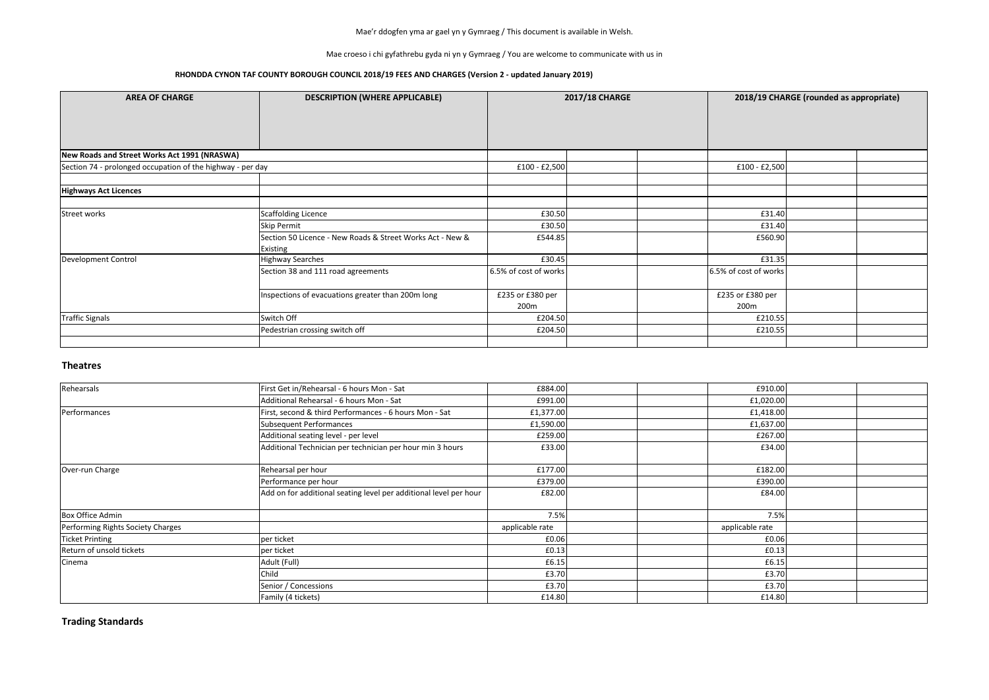Mae croeso i chi gyfathrebu gyda ni yn y Gymraeg / You are welcome to communicate with us in

### **RHONDDA CYNON TAF COUNTY BOROUGH COUNCIL 2018/19 FEES AND CHARGES (Version 2 - updated January 2019)**

#### **Theatres**

| <b>AREA OF CHARGE</b>                                      | <b>DESCRIPTION (WHERE APPLICABLE)</b>                                                                       |                                 | <b>2017/18 CHARGE</b> |                                      | 2018/19 CHARGE (rounded as appropriate) |
|------------------------------------------------------------|-------------------------------------------------------------------------------------------------------------|---------------------------------|-----------------------|--------------------------------------|-----------------------------------------|
| New Roads and Street Works Act 1991 (NRASWA)               |                                                                                                             |                                 |                       |                                      |                                         |
| Section 74 - prolonged occupation of the highway - per day |                                                                                                             | £100 - £2,500                   |                       | $£100 - £2,500$                      |                                         |
| <b>Highways Act Licences</b>                               |                                                                                                             |                                 |                       |                                      |                                         |
| <b>Street works</b>                                        | Scaffolding Licence<br>Skip Permit<br>Section 50 Licence - New Roads & Street Works Act - New &<br>Existing | £30.50<br>£30.50<br>£544.85     |                       | £31.40<br>£31.40<br>£560.90          |                                         |
| Development Control                                        | <b>Highway Searches</b><br>Section 38 and 111 road agreements                                               | £30.45<br>6.5% of cost of works |                       | £31.35<br>6.5% of cost of works      |                                         |
|                                                            | Inspections of evacuations greater than 200m long                                                           | £235 or £380 per<br>200m        |                       | £235 or £380 per<br>200 <sub>m</sub> |                                         |
| <b>Traffic Signals</b>                                     | Switch Off                                                                                                  | £204.50                         |                       | £210.55                              |                                         |
|                                                            | Pedestrian crossing switch off                                                                              | £204.50                         |                       | £210.55                              |                                         |

**Trading Standards**

| Rehearsals                        | First Get in/Rehearsal - 6 hours Mon - Sat                        | £884.00         | £910.00         |  |
|-----------------------------------|-------------------------------------------------------------------|-----------------|-----------------|--|
|                                   | Additional Rehearsal - 6 hours Mon - Sat                          | £991.00         | £1,020.00       |  |
| Performances                      | First, second & third Performances - 6 hours Mon - Sat            | £1,377.00       | £1,418.00       |  |
|                                   | <b>Subsequent Performances</b>                                    | £1,590.00       | £1,637.00       |  |
|                                   | Additional seating level - per level                              | £259.00         | £267.00         |  |
|                                   | Additional Technician per technician per hour min 3 hours         | £33.00          | £34.00          |  |
| Over-run Charge                   | Rehearsal per hour                                                | £177.00         | £182.00         |  |
|                                   | Performance per hour                                              | £379.00         | £390.00         |  |
|                                   | Add on for additional seating level per additional level per hour | £82.00          | £84.00          |  |
| <b>Box Office Admin</b>           |                                                                   | 7.5%            | 7.5%            |  |
| Performing Rights Society Charges |                                                                   | applicable rate | applicable rate |  |
| <b>Ticket Printing</b>            | per ticket                                                        | £0.06           | £0.06           |  |
| Return of unsold tickets          | per ticket                                                        | £0.13           | £0.13           |  |
| Cinema                            | Adult (Full)                                                      | £6.15           | £6.15           |  |
|                                   | Child                                                             | £3.70           | £3.70           |  |
|                                   | Senior / Concessions                                              | £3.70           | £3.70           |  |
|                                   | Family (4 tickets)                                                | £14.80          | £14.80          |  |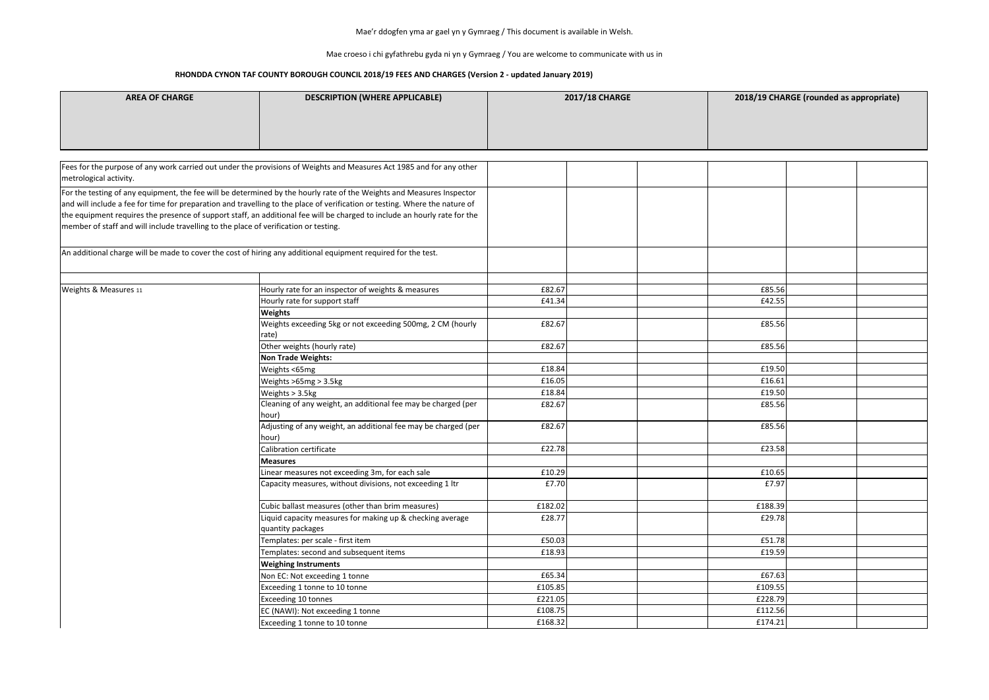Mae croeso i chi gyfathrebu gyda ni yn y Gymraeg / You are welcome to communicate with us in

### **RHONDDA CYNON TAF COUNTY BOROUGH COUNCIL 2018/19 FEES AND CHARGES (Version 2 - updated January 2019)**

| <b>AREA OF CHARGE</b>                                                                | <b>DESCRIPTION (WHERE APPLICABLE)</b>                                                                                                                                                                                                                                                                                                                                             | <b>2017/18 CHARGE</b> | 2018/19 CHA |
|--------------------------------------------------------------------------------------|-----------------------------------------------------------------------------------------------------------------------------------------------------------------------------------------------------------------------------------------------------------------------------------------------------------------------------------------------------------------------------------|-----------------------|-------------|
|                                                                                      |                                                                                                                                                                                                                                                                                                                                                                                   |                       |             |
| metrological activity.                                                               | Fees for the purpose of any work carried out under the provisions of Weights and Measures Act 1985 and for any other                                                                                                                                                                                                                                                              |                       |             |
| member of staff and will include travelling to the place of verification or testing. | For the testing of any equipment, the fee will be determined by the hourly rate of the Weights and Measures Inspector<br>and will include a fee for time for preparation and travelling to the place of verification or testing. Where the nature of<br>the equipment requires the presence of support staff, an additional fee will be charged to include an hourly rate for the |                       |             |
|                                                                                      | An additional charge will be made to cover the cost of hiring any additional equipment required for the test.                                                                                                                                                                                                                                                                     |                       |             |
| Weights & Measures 11                                                                | Hourly rate for an inspector of weights & measures                                                                                                                                                                                                                                                                                                                                | £82.67                | £85.56      |
|                                                                                      | Hourly rate for support staff                                                                                                                                                                                                                                                                                                                                                     | £41.34                | £42.55      |
|                                                                                      | <b>Weights</b>                                                                                                                                                                                                                                                                                                                                                                    |                       |             |
|                                                                                      | Weights exceeding 5kg or not exceeding 500mg, 2 CM (hourly<br>rate)                                                                                                                                                                                                                                                                                                               | £82.67                | £85.56      |
|                                                                                      | Other weights (hourly rate)                                                                                                                                                                                                                                                                                                                                                       | £82.67                | £85.56      |
|                                                                                      | <b>Non Trade Weights:</b>                                                                                                                                                                                                                                                                                                                                                         |                       |             |
|                                                                                      | Weights <65mg                                                                                                                                                                                                                                                                                                                                                                     | £18.84                | £19.50      |
|                                                                                      | Weights >65mg > 3.5kg                                                                                                                                                                                                                                                                                                                                                             | £16.05                | £16.61      |
|                                                                                      | Weights > 3.5kg                                                                                                                                                                                                                                                                                                                                                                   | £18.84                | £19.50      |
|                                                                                      | Cleaning of any weight, an additional fee may be charged (per<br>hour)                                                                                                                                                                                                                                                                                                            | £82.67                | £85.56      |
|                                                                                      | Adjusting of any weight, an additional fee may be charged (per<br>hour)                                                                                                                                                                                                                                                                                                           | £82.67                | £85.56      |
|                                                                                      | Calibration certificate                                                                                                                                                                                                                                                                                                                                                           | £22.78                | £23.58      |
|                                                                                      | <b>Measures</b>                                                                                                                                                                                                                                                                                                                                                                   |                       |             |
|                                                                                      | Linear measures not exceeding 3m, for each sale                                                                                                                                                                                                                                                                                                                                   | £10.29                | £10.65      |
|                                                                                      | Capacity measures, without divisions, not exceeding 1 ltr                                                                                                                                                                                                                                                                                                                         | £7.70                 | £7.97       |
|                                                                                      | Cubic ballast measures (other than brim measures)                                                                                                                                                                                                                                                                                                                                 | £182.02               | £188.39     |
|                                                                                      | Liquid capacity measures for making up & checking average<br>quantity packages                                                                                                                                                                                                                                                                                                    | £28.77                | £29.78      |
|                                                                                      | Templates: per scale - first item                                                                                                                                                                                                                                                                                                                                                 | £50.03                | £51.78      |
|                                                                                      | Templates: second and subsequent items                                                                                                                                                                                                                                                                                                                                            | £18.93                | £19.59      |
|                                                                                      | <b>Weighing Instruments</b>                                                                                                                                                                                                                                                                                                                                                       |                       |             |
|                                                                                      | Non EC: Not exceeding 1 tonne                                                                                                                                                                                                                                                                                                                                                     | £65.34                | £67.63      |
|                                                                                      | Exceeding 1 tonne to 10 tonne                                                                                                                                                                                                                                                                                                                                                     | £105.85               | £109.55     |
|                                                                                      | <b>Exceeding 10 tonnes</b>                                                                                                                                                                                                                                                                                                                                                        | £221.05               | £228.79     |
|                                                                                      | EC (NAWI): Not exceeding 1 tonne                                                                                                                                                                                                                                                                                                                                                  | £108.75               | £112.56     |
|                                                                                      | Exceeding 1 tonne to 10 tonne                                                                                                                                                                                                                                                                                                                                                     | £168.32               | £174.21     |

### **ABILITY CHARGE (rounded as appropriate)**

| £85.56  |  |
|---------|--|
| £42.55  |  |
|         |  |
| £85.56  |  |
| £85.56  |  |
|         |  |
| £19.50  |  |
| £16.61  |  |
| £19.50  |  |
| £85.56  |  |
| £85.56  |  |
| £23.58  |  |
|         |  |
| £10.65  |  |
| £7.97   |  |
| £188.39 |  |
| £29.78  |  |
| £51.78  |  |
| £19.59  |  |
|         |  |
| £67.63  |  |
| £109.55 |  |
| £228.79 |  |
| £112.56 |  |
| £174.21 |  |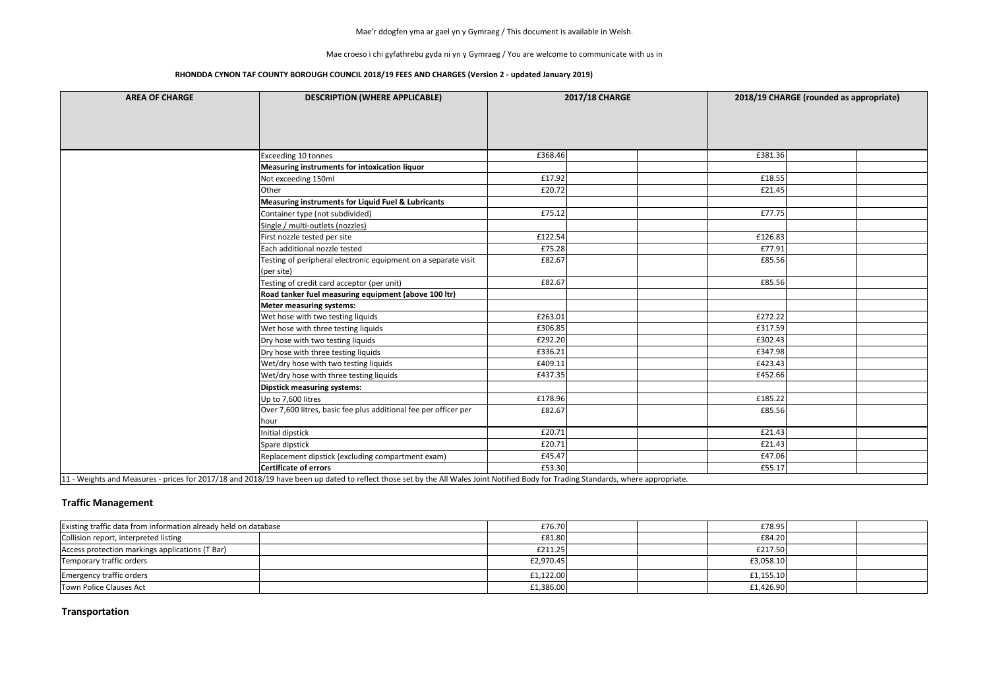Mae croeso i chi gyfathrebu gyda ni yn y Gymraeg / You are welcome to communicate with us in

### **RHONDDA CYNON TAF COUNTY BOROUGH COUNCIL 2018/19 FEES AND CHARGES (Version 2 - updated January 2019)**

| <b>AREA OF CHARGE</b> | <b>DESCRIPTION (WHERE APPLICABLE)</b>                                                                                                                                             | <b>2017/18 CHARGE</b> | 2018/19 CHARGE (rounded as appropriate) |
|-----------------------|-----------------------------------------------------------------------------------------------------------------------------------------------------------------------------------|-----------------------|-----------------------------------------|
|                       |                                                                                                                                                                                   |                       |                                         |
|                       |                                                                                                                                                                                   |                       |                                         |
|                       |                                                                                                                                                                                   |                       |                                         |
|                       | Exceeding 10 tonnes                                                                                                                                                               | £368.46               | £381.36                                 |
|                       | Measuring instruments for intoxication liquor                                                                                                                                     |                       |                                         |
|                       | Not exceeding 150ml                                                                                                                                                               | £17.92                | £18.55                                  |
|                       | Other                                                                                                                                                                             | £20.72                | £21.45                                  |
|                       | Measuring instruments for Liquid Fuel & Lubricants                                                                                                                                |                       |                                         |
|                       | Container type (not subdivided)                                                                                                                                                   | £75.12                | £77.75                                  |
|                       | Single / multi-outlets (nozzles)                                                                                                                                                  |                       |                                         |
|                       | First nozzle tested per site                                                                                                                                                      | £122.54               | £126.83                                 |
|                       | Each additional nozzle tested                                                                                                                                                     | £75.28                | £77.91                                  |
|                       | Testing of peripheral electronic equipment on a separate visit                                                                                                                    | £82.67                | £85.56                                  |
|                       | (per site)                                                                                                                                                                        |                       |                                         |
|                       | Testing of credit card acceptor (per unit)                                                                                                                                        | £82.67                | £85.56                                  |
|                       | Road tanker fuel measuring equipment (above 100 ltr)                                                                                                                              |                       |                                         |
|                       | <b>Meter measuring systems:</b>                                                                                                                                                   |                       |                                         |
|                       | Wet hose with two testing liquids                                                                                                                                                 | £263.01               | £272.22                                 |
|                       | Wet hose with three testing liquids                                                                                                                                               | £306.85               | £317.59                                 |
|                       | Dry hose with two testing liquids                                                                                                                                                 | £292.20               | £302.43                                 |
|                       | Dry hose with three testing liquids                                                                                                                                               | £336.21               | £347.98                                 |
|                       | Wet/dry hose with two testing liquids                                                                                                                                             | £409.11               | £423.43                                 |
|                       | Wet/dry hose with three testing liquids                                                                                                                                           | £437.35               | £452.66                                 |
|                       | Dipstick measuring systems:                                                                                                                                                       |                       |                                         |
|                       | Up to 7,600 litres                                                                                                                                                                | £178.96               | £185.22                                 |
|                       | Over 7,600 litres, basic fee plus additional fee per officer per                                                                                                                  | £82.67                | £85.56                                  |
|                       | hour                                                                                                                                                                              |                       |                                         |
|                       | Initial dipstick                                                                                                                                                                  | £20.71                | £21.43                                  |
|                       | Spare dipstick                                                                                                                                                                    | £20.71                | £21.43                                  |
|                       | Replacement dipstick (excluding compartment exam)                                                                                                                                 | £45.47                | £47.06                                  |
|                       | Certificate of errors                                                                                                                                                             | £53.30                | £55.17                                  |
|                       | 11 - Weights and Measures - prices for 2017/18 and 2018/19 have been up dated to reflect those set by the All Wales Joint Notified Body for Trading Standards, where appropriate. |                       |                                         |

### **Traffic Management**

| Existing traffic data from information already held on database | £76.70    |  | £78.95    |  |
|-----------------------------------------------------------------|-----------|--|-----------|--|
| Collision report, interpreted listing                           | £81.80    |  | £84.20    |  |
| Access protection markings applications (T Bar)                 | £211.25   |  | £217.50   |  |
| Temporary traffic orders                                        | £2,970.45 |  | £3,058.10 |  |
| <b>Emergency traffic orders</b>                                 | £1,122.00 |  | f1,155.10 |  |
| Town Police Clauses Act                                         | £1,386.00 |  | £1,426.90 |  |

## **Transportation**